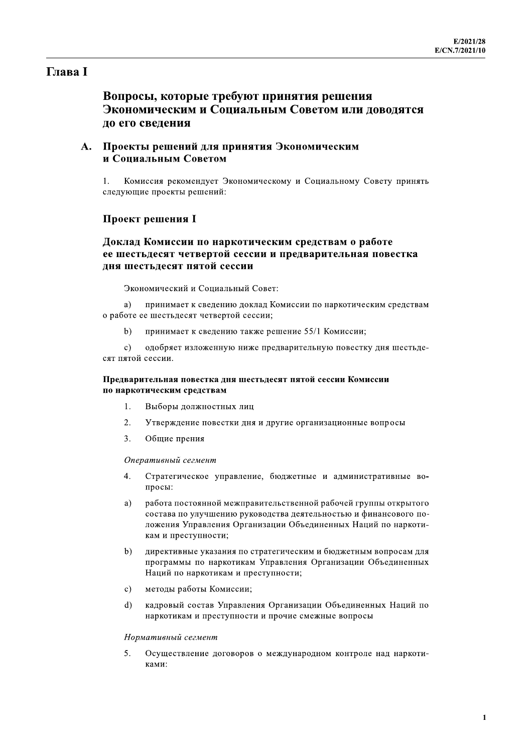# **Глава** I

# Вопросы, которые требуют принятия решения Экономическим и Социальным Советом или доводятся до его сведения

# А. Проекты решений для принятия Экономическим и Социальным Советом

Комиссия рекомендует Экономическому и Социальному Совету принять следующие проекты решений:

### **Проект решения I**

# Доклад Комиссии по наркотическим средствам о работе ее шестьдесят четвертой сессии и предварительная повестка дня шестьдесят пятой сессии

Экономический и Социальный Совет:

a) принимает к сведению доклад Комиссии по наркотическим средствам о работе ее шестьдесят четвертой сессии;

 $b)$ принимает к сведению также решение 55/1 Комиссии;

одобряет изложенную ниже предварительную повестку дня шестьде- $\mathbf{c}$ ) сят пятой сессии.

### Предварительная повестка дня шестьдесят пятой сессии Комиссии по наркотическим средствам

- 1. Выборы должностных лиц
- $2.$ Утверждение повестки дня и другие организационные вопросы
- $\overline{3}$ . Общие прения

### Оперативный сегмент

- $\overline{4}$ . Стратегическое управление, бюджетные и административные вопросы:
- $a)$ работа постоянной межправительственной рабочей группы открытого состава по улучшению руководства деятельностью и финансового положения Управления Организации Объединенных Наций по наркотикам и преступности:
- $b)$ директивные указания по стратегическим и бюджетным вопросам для программы по наркотикам Управления Организации Объединенных Наций по наркотикам и преступности;
- методы работы Комиссии;  $c)$
- $d)$ кадровый состав Управления Организации Объединенных Наций по наркотикам и преступности и прочие смежные вопросы

### Нормативный сегмент

 $5<sub>1</sub>$ Осуществление договоров о международном контроле над наркотиками: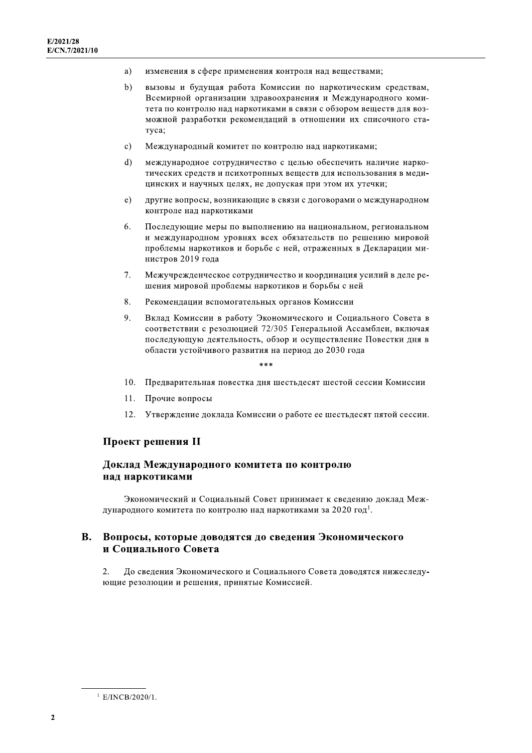- изменения в сфере применения контроля над веществами; a)
- $b)$ вызовы и будущая работа Комиссии по наркотическим средствам, Всемирной организации здравоохранения и Международного комитета по контролю над наркотиками в связи с обзором веществ для возможной разработки рекомендаций в отношении их списочного статуса;
- $c)$ Международный комитет по контролю над наркотиками;
- $d)$ международное сотрудничество с целью обеспечить наличие наркотических средств и психотропных веществ для использования в медицинских и научных целях, не допуская при этом их утечки;
- $e)$ другие вопросы, возникающие в связи с договорами о международном контроле над наркотиками
- 6. Последующие меры по выполнению на национальном, региональном и международном уровнях всех обязательств по решению мировой проблемы наркотиков и борьбе с ней, отраженных в Декларации министров 2019 года
- 7. Межучрежденческое сотрудничество и координация усилий в деле решения мировой проблемы наркотиков и борьбы с ней
- 8. Рекомендации вспомогательных органов Комиссии
- 9. Вклад Комиссии в работу Экономического и Социального Совета в соответствии с резолюцией 72/305 Генеральной Ассамблеи, включая последующую деятельность, обзор и осуществление Повестки дня в области устойчивого развития на период до 2030 года

 $* * *$ 

- 10. Предварительная повестка дня шестьдесят шестой сессии Комиссии
- 11. Прочие вопросы
- 12. Утверждение доклада Комиссии о работе ее шестьдесят пятой сессии.

### Проект решения II

### Доклад Международного комитета по контролю над наркотиками

Экономический и Социальный Совет принимает к сведению доклад Международного комитета по контролю над наркотиками за 2020 год<sup>1</sup>.

#### **B.** Вопросы, которые доводятся до сведения Экономического и Социального Совета

 $\overline{2}$ . До сведения Экономического и Социального Совета доводятся нижеследующие резолюции и решения, принятые Комиссией.

 $1$  E/INCB/2020/1.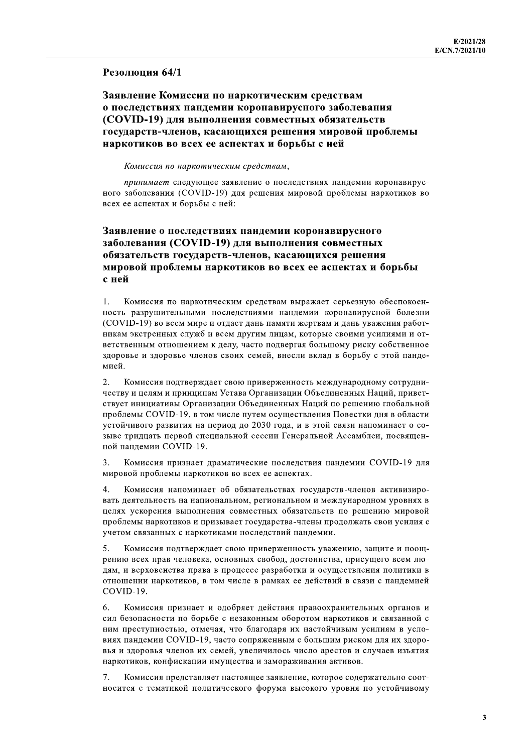### Резолюция 64/1

Заявление Комиссии по наркотическим средствам о последствиях пандемии коронавирусного заболевания (COVID-19) для выполнения совместных обязательств государств-членов, касающихся решения мировой проблемы наркотиков во всех ее аспектах и борьбы с ней

Комиссия по наркотическим средствам,

принимает следующее заявление о последствиях пандемии коронавирусного заболевания (COVID-19) для решения мировой проблемы наркотиков во всех ее аспектах и борьбы с ней:

# Заявление о последствиях пандемии коронавирусного заболевания (COVID-19) для выполнения совместных обязательств государств-членов, касающихся решения мировой проблемы наркотиков во всех ее аспектах и борьбы с ней

 $\mathbf{1}$ Комиссия по наркотическим средствам выражает серьезную обеспокоенность разрушительными последствиями пандемии коронавирусной болезни (COVID-19) во всем мире и отдает дань памяти жертвам и дань уважения работникам экстренных служб и всем другим лицам, которые своими усилиями и ответственным отношением к делу, часто подвергая большому риску собственное здоровье и здоровье членов своих семей, внесли вклад в борьбу с этой пандемией.

2. Комиссия подтверждает свою приверженность международному сотрудничеству и целям и принципам Устава Организации Объединенных Наций, приветствует инициативы Организации Объединенных Наций по решению глобальной проблемы COVID-19, в том числе путем осуществления Повестки дня в области устойчивого развития на период до 2030 года, и в этой связи напоминает о созыве тридцать первой специальной сессии Генеральной Ассамблеи, посвященной пандемии COVID-19.

Комиссия признает драматические последствия пандемии COVID-19 для  $\mathcal{F}$ мировой проблемы наркотиков во всех ее аспектах.

 $\overline{4}$ . Комиссия напоминает об обязательствах государств-членов активизировать деятельность на национальном, региональном и международном уровнях в целях ускорения выполнения совместных обязательств по решению мировой проблемы наркотиков и призывает государства-члены продолжать свои усилия с учетом связанных с наркотиками последствий пандемии.

5. Комиссия подтверждает свою приверженность уважению, защите и поощрению всех прав человека, основных свобод, достоинства, присущего всем людям, и верховенства права в процессе разработки и осуществления политики в отношении наркотиков, в том числе в рамках ее действий в связи с пандемией COVID-19.

Комиссия признает и одобряет действия правоохранительных органов и 6 сил безопасности по борьбе с незаконным оборотом наркотиков и связанной с ним преступностью, отмечая, что благодаря их настойчивым усилиям в условиях пандемии COVID-19, часто сопряженным с большим риском для их здоровья и здоровья членов их семей, увеличилось число арестов и случаев изъятия наркотиков, конфискации имущества и замораживания активов.

Комиссия представляет настоящее заявление, которое содержательно соотносится с тематикой политического форума высокого уровня по устойчивому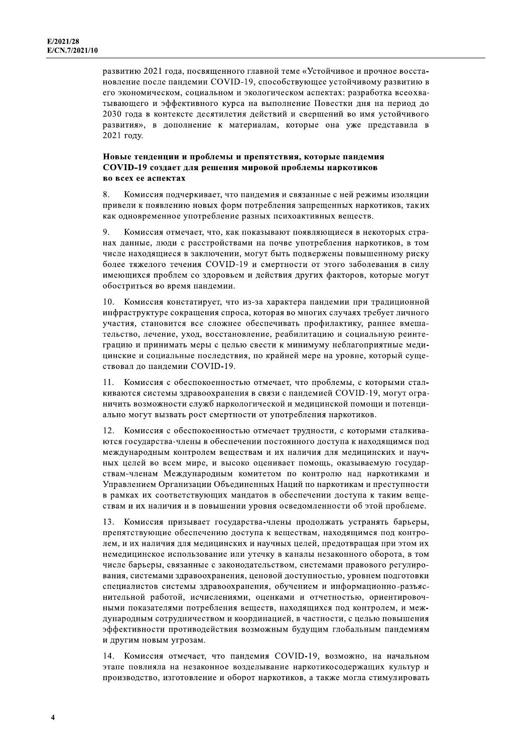развитию 2021 года, посвященного главной теме «Устойчивое и прочное восстановление после пандемии COVID-19, способствующее устойчивому развитию в его экономическом, социальном и экологическом аспектах: разработка всеохватывающего и эффективного курса на выполнение Повестки дня на период до 2030 года в контексте десятилетия действий и свершений во имя устойчивого развития», в дополнение к материалам, которые она уже представила в 2021 году.

### Новые тенденции и проблемы и препятствия, которые пандемия COVID-19 создает для решения мировой проблемы наркотиков во всех ее аспектах

 $\mathbf{R}$ Комиссия подчеркивает, что пандемия и связанные с ней режимы изоляции привели к появлению новых форм потребления запрещенных наркотиков, таких как одновременное употребление разных психоактивных веществ.

9. Комиссия отмечает, что, как показывают появляющиеся в некоторых странах данные, люди с расстройствами на почве употребления наркотиков, в том числе находящиеся в заключении, могут быть подвержены повышенному риску более тяжелого течения COVID-19 и смертности от этого заболевания в силу имеющихся проблем со здоровьем и действия других факторов, которые могут обостриться во время пандемии.

 $10.$ Комиссия констатирует, что из-за характера пандемии при традиционной инфраструктуре сокращения спроса, которая во многих случаях требует личного участия, становится все сложнее обеспечивать профилактику, раннее вмешательство, лечение, уход, восстановление, реабилитацию и социальную реинтеграцию и принимать меры с целью свести к минимуму неблагоприятные медицинские и социальные последствия, по крайней мере на уровне, который существовал до пандемии COVID-19.

Комиссия с обеспокоенностью отмечает, что проблемы, с которыми стал- $11$ киваются системы здравоохранения в связи с пандемией COVID-19, могут ограничить возможности служб наркологической и медицинской помощи и потенциально могут вызвать рост смертности от употребления наркотиков.

Комиссия с обеспокоенностью отмечает трудности, с которыми сталкива- $12<sup>1</sup>$ ются государства-члены в обеспечении постоянного доступа к находящимся под международным контролем веществам и их наличия для медицинских и научных целей во всем мире, и высоко оценивает помощь, оказываемую государствам-членам Международным комитетом по контролю над наркотиками и Управлением Организации Объединенных Наций по наркотикам и преступности в рамках их соответствующих мандатов в обеспечении доступа к таким вешествам и их наличия и в повышении уровня осведомленности об этой проблеме.

Комиссия призывает государства-члены продолжать устранять барьеры, препятствующие обеспечению доступа к веществам, находящимся под контролем, и их наличия для медицинских и научных целей, предотвращая при этом их немедицинское использование или утечку в каналы незаконного оборота, в том числе барьеры, связанные с законодательством, системами правового регулирования, системами здравоохранения, ценовой доступностью, уровнем подготовки специалистов системы здравоохранения, обучением и информационно-разъяснительной работой, исчислениями, оценками и отчетностью, ориентировочными показателями потребления веществ, находящихся под контролем, и международным сотрудничеством и координацией, в частности, с целью повышения эффективности противодействия возможным будущим глобальным пандемиям и другим новым угрозам.

14. Комиссия отмечает, что пандемия COVID-19, возможно, на начальном этапе повлияла на незаконное возделывание наркотикосодержащих культур и производство, изготовление и оборот наркотиков, а также могла стимулировать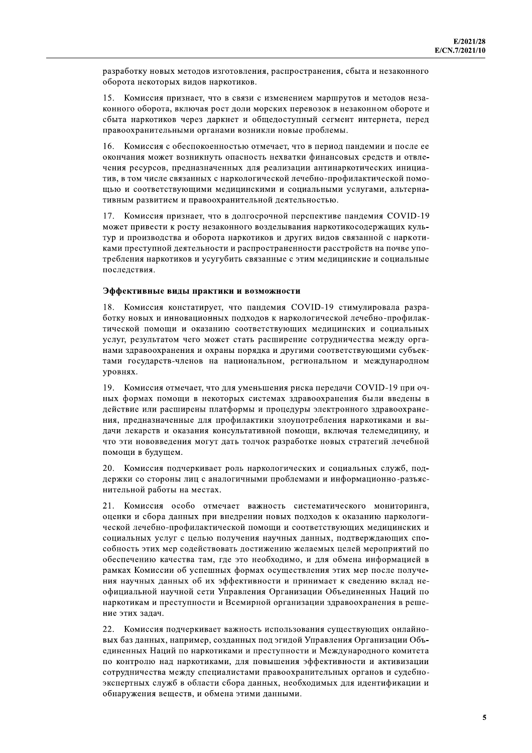разработку новых методов изготовления, распространения, сбыта и незаконного оборота некоторых видов наркотиков.

15. Комиссия признает, что в связи с изменением маршрутов и методов незаконного оборота, включая рост доли морских перевозок в незаконном обороте и сбыта наркотиков через даркнет и общедоступный сегмент интернета, перед правоохранительными органами возникли новые проблемы.

 $16.$ Комиссия с обеспокоенностью отмечает, что в период пандемии и после ее окончания может возникнуть опасность нехватки финансовых средств и отвлечения ресурсов, предназначенных для реализации антинаркотических инициатив, в том числе связанных с наркологической лечебно-профилактической помощью и соответствующими медицинскими и социальными услугами, альтернативным развитием и правоохранительной деятельностью.

17. Комиссия признает, что в долгосрочной перспективе пандемия COVID-19 может привести к росту незаконного возделывания наркотикосодержащих культур и производства и оборота наркотиков и других видов связанной с наркотиками преступной деятельности и распространенности расстройств на почве употребления наркотиков и усугубить связанные с этим медицинские и социальные последствия.

#### Эффективные виды практики и возможности

18. Комиссия констатирует, что пандемия COVID-19 стимулировала разработку новых и инновационных подходов к наркологической лечебно-профилактической помощи и оказанию соответствующих медицинских и социальных услуг, результатом чего может стать расширение сотрудничества между органами здравоохранения и охраны порядка и другими соответствующими субъектами государств-членов на национальном, региональном и международном **VDOBHAX.** 

19. Комиссия отмечает, что для уменьшения риска передачи COVID-19 при очных формах помощи в некоторых системах здравоохранения были введены в действие или расширены платформы и процедуры электронного здравоохранения, предназначенные для профилактики злоупотребления наркотиками и выдачи лекарств и оказания консультативной помощи, включая телемедицину, и что эти нововведения могут дать толчок разработке новых стратегий лечебной помощи в будущем.

20. Комиссия подчеркивает роль наркологических и социальных служб, поддержки со стороны лиц с аналогичными проблемами и информационно-разъяснительной работы на местах.

 $21.$ Комиссия особо отмечает важность систематического мониторинга, оценки и сбора данных при внедрении новых подходов к оказанию наркологической лечебно-профилактической помощи и соответствующих медицинских и социальных услуг с целью получения научных данных, подтверждающих способность этих мер содействовать достижению желаемых целей мероприятий по обеспечению качества там, где это необходимо, и для обмена информацией в рамках Комиссии об успешных формах осуществления этих мер после получения научных данных об их эффективности и принимает к сведению вклад неофициальной научной сети Управления Организации Объединенных Наций по наркотикам и преступности и Всемирной организации здравоохранения в решение этих задач.

22. Комиссия подчеркивает важность использования существующих онлайновых баз данных, например, созданных под эгидой Управления Организации Объединенных Наций по наркотиками и преступности и Международного комитета по контролю над наркотиками, для повышения эффективности и активизации сотрудничества между специалистами правоохранительных органов и судебноэкспертных служб в области сбора данных, необходимых для идентификации и обнаружения веществ, и обмена этими данными.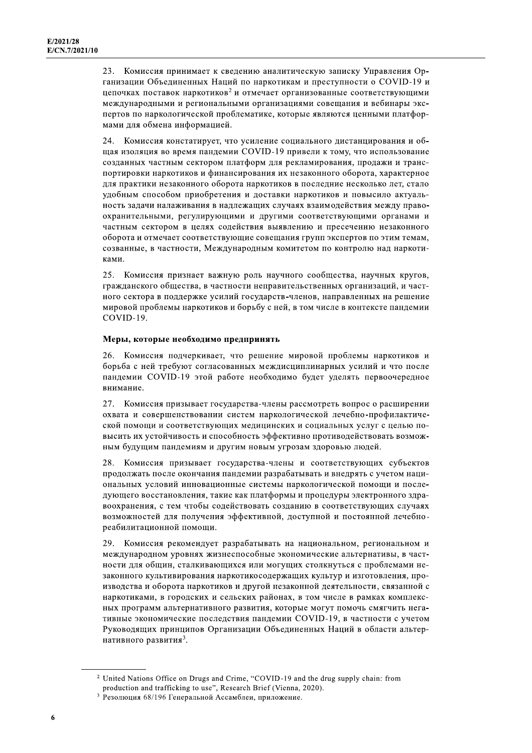Комиссия принимает к сведению аналитическую записку Управления Ор- $23.$ ганизации Объединенных Наций по наркотикам и преступности о COVID-19 и цепочках поставок наркотиков<sup>2</sup> и отмечает организованные соответствующими международными и региональными организациями совещания и вебинары экспертов по наркологической проблематике, которые являются ценными платформами для обмена информацией.

 $24$ Комиссия констатирует, что усиление социального дистанцирования и общая изоляция во время пандемии COVID-19 привели к тому, что использование созданных частным сектором платформ для рекламирования, продажи и транспортировки наркотиков и финансирования их незаконного оборота, характерное для практики незаконного оборота наркотиков в последние несколько лет, стало удобным способом приобретения и доставки наркотиков и повысило актуальность задачи налаживания в надлежащих случаях взаимодействия между правоохранительными, регулирующими и другими соответствующими органами и частным сектором в целях содействия выявлению и пресечению незаконного оборота и отмечает соответствующие совещания групп экспертов по этим темам, созванные, в частности, Международным комитетом по контролю над наркотиками.

25. Комиссия признает важную роль научного сообщества, научных кругов, гражданского общества, в частности неправительственных организаций, и частного сектора в поддержке усилий государств-членов, направленных на решение мировой проблемы наркотиков и борьбу с ней, в том числе в контексте пандемии COVID-19.

### Меры, которые необходимо предпринять

26. Комиссия подчеркивает, что решение мировой проблемы наркотиков и борьба с ней требуют согласованных междисциплинарных усилий и что после пандемии COVID-19 этой работе необходимо будет уделять первоочередное внимание.

27. Комиссия призывает государства-члены рассмотреть вопрос о расширении охвата и совершенствовании систем наркологической лечебно-профилактической помощи и соответствующих медицинских и социальных услуг с целью повысить их устойчивость и способность эффективно противодействовать возможным будущим пандемиям и другим новым угрозам здоровью людей.

28. Комиссия призывает государства-члены и соответствующих субъектов продолжать после окончания пандемии разрабатывать и внедрять с учетом национальных условий инновационные системы наркологической помощи и последующего восстановления, такие как платформы и процедуры электронного здравоохранения, с тем чтобы содействовать созданию в соответствующих случаях возможностей для получения эффективной, доступной и постоянной лечебнореабилитационной помощи.

29. Комиссия рекомендует разрабатывать на национальном, региональном и международном уровнях жизнеспособные экономические альтернативы, в частности для общин, сталкивающихся или могущих столкнуться с проблемами незаконного культивирования наркотикосодержащих культур и изготовления, производства и оборота наркотиков и другой незаконной деятельности, связанной с наркотиками, в городских и сельских районах, в том числе в рамках комплексных программ альтернативного развития, которые могут помочь смягчить негативные экономические последствия пандемии COVID-19, в частности с учетом Руководящих принципов Организации Объединенных Наций в области альтернативного развития<sup>3</sup>.

<sup>&</sup>lt;sup>2</sup> United Nations Office on Drugs and Crime, "COVID-19 and the drug supply chain: from production and trafficking to use", Research Brief (Vienna, 2020).

<sup>3</sup> Резолюция 68/196 Генеральной Ассамблеи, приложение.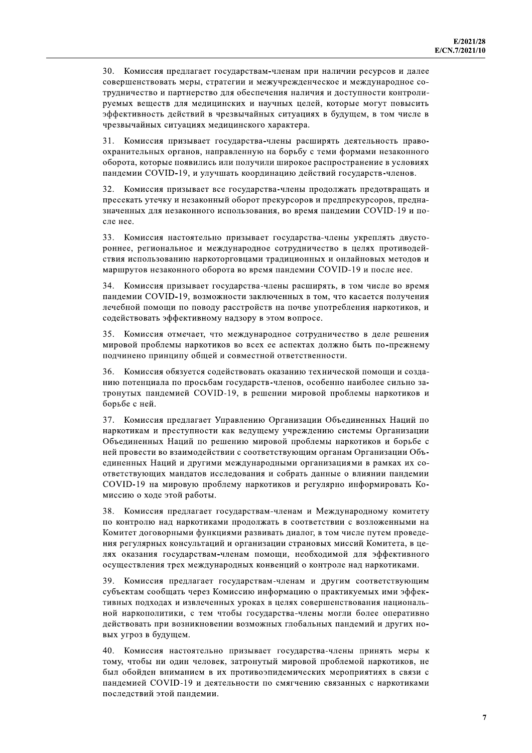30. Комиссия предлагает государствам-членам при наличии ресурсов и далее совершенствовать меры, стратегии и межучрежденческое и международное сотрудничество и партнерство для обеспечения наличия и доступности контролируемых веществ для медицинских и научных целей, которые могут повысить эффективность действий в чрезвычайных ситуациях в будущем, в том числе в чрезвычайных ситуациях медицинского характера.

 $31$ Комиссия призывает государства-члены расширять деятельность правоохранительных органов, направленную на борьбу с теми формами незаконного оборота, которые появились или получили широкое распространение в условиях пандемии COVID-19, и улучшать координацию действий государств-членов.

32. Комиссия призывает все государства-члены продолжать предотвращать и пресекать утечку и незаконный оборот прекурсоров и предпрекурсоров, предназначенных для незаконного использования, во время пандемии COVID-19 и после нее.

33. Комиссия настоятельно призывает государства-члены укреплять двустороннее, региональное и международное сотрудничество в целях противодействия использованию наркоторговцами традиционных и онлайновых методов и маршрутов незаконного оборота во время пандемии COVID-19 и после нее.

34. Комиссия призывает государства-члены расширять, в том числе во время пандемии COVID-19, возможности заключенных в том, что касается получения лечебной помощи по поводу расстройств на почве употребления наркотиков, и содействовать эффективному надзору в этом вопросе.

Комиссия отмечает, что международное сотрудничество в деле решения мировой проблемы наркотиков во всех ее аспектах должно быть по-прежнему подчинено принципу общей и совместной ответственности.

 $36<sub>1</sub>$ Комиссия обязуется содействовать оказанию технической помощи и созданию потенциала по просьбам государств-членов, особенно наиболее сильно затронутых пандемией COVID-19, в решении мировой проблемы наркотиков и борьбе с ней.

37. Комиссия предлагает Управлению Организации Объединенных Наций по наркотикам и преступности как ведущему учреждению системы Организации Объединенных Наций по решению мировой проблемы наркотиков и борьбе с ней провести во взаимодействии с соответствующим органам Организации Объединенных Наций и другими международными организациями в рамках их соответствующих мандатов исследования и собрать данные о влиянии пандемии COVID-19 на мировую проблему наркотиков и регулярно информировать Комиссию о ходе этой работы.

38. Комиссия предлагает государствам-членам и Международному комитету по контролю над наркотиками продолжать в соответствии с возложенными на Комитет договорными функциями развивать диалог, в том числе путем проведения регулярных консультаций и организации страновых миссий Комитета, в целях оказания государствам-членам помощи, необходимой для эффективного осуществления трех международных конвенций о контроле над наркотиками.

39. Комиссия предлагает государствам-членам и другим соответствующим субъектам сообщать через Комиссию информацию о практикуемых ими эффективных подходах и извлеченных уроках в целях совершенствования национальной наркополитики, с тем чтобы государства-члены могли более оперативно действовать при возникновении возможных глобальных пандемий и других новых угроз в будущем.

40. Комиссия настоятельно призывает государства-члены принять меры к тому, чтобы ни один человек, затронутый мировой проблемой наркотиков, не был обойден вниманием в их противоэпидемических мероприятиях в связи с пандемией COVID-19 и деятельности по смягчению связанных с наркотиками послелствий этой панлемии.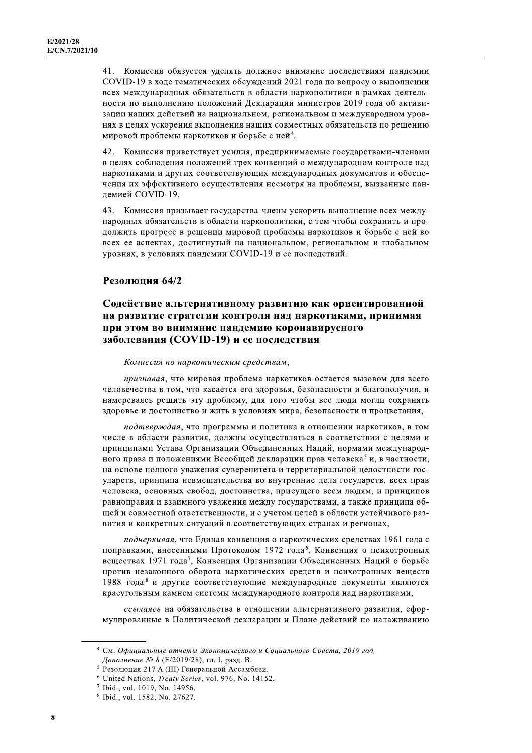41. Комиссия обязуется уделять должное внимание последствиям пандемии COVID-19 в ходе тематических обсуждений 2021 года по вопросу о выполнении всех международных обязательств в области наркополитики в рамках деятельности по выполнению положений Декларации министров 2019 года об активизации наших действий на национальном, региональном и международном уровнях в целях ускорения выполнения наших совместных обязательств по решению мировой проблемы наркотиков и борьбе с ней<sup>4</sup>.

Комиссия приветствует усилия, предпринимаемые государствами-членами 42 в целях соблюдения положений трех конвенций о международном контроле над наркотиками и других соответствующих международных документов и обеспечения их эффективного осуществления несмотря на проблемы, вызванные пандемией COVID-19.

43. Комиссия призывает государства-члены ускорить выполнение всех международных обязательств в области наркополитики, с тем чтобы сохранить и продолжить прогресс в решении мировой проблемы наркотиков и борьбе с ней во всех ее аспектах, достигнутый на национальном, региональном и глобальном уровнях, в условиях пандемии COVID-19 и ее последствий.

### Резолюция 64/2

### Содействие альтернативному развитию как ориентированной на развитие стратегии контроля над наркотиками, принимая при этом во внимание пандемию коронавирусного заболевания (COVID-19) и ее последствия

Комиссия по наркотическим средствам,

признавая, что мировая проблема наркотиков остается вызовом для всего человечества в том, что касается его здоровья, безопасности и благополучия, и намереваясь решить эту проблему, для того чтобы все люди могли сохранять здоровье и достоинство и жить в условиях мира, безопасности и процветания,

подтверждая, что программы и политика в отношении наркотиков, в том числе в области развития, должны осуществляться в соответствии с целями и принципами Устава Организации Объединенных Наций, нормами международного права и положениями Всеобщей декларации прав человека<sup>5</sup> и, в частности, на основе полного уважения суверенитета и территориальной целостности государств, принципа невмешательства во внутренние дела государств, всех прав человека, основных свобод, достоинства, присущего всем людям, и принципов равноправия и взаимного уважения между государствами, а также принципа общей и совместной ответственности, и с учетом целей в области устойчивого развития и конкретных ситуаций в соответствующих странах и регионах,

подчеркивая, что Единая конвенция о наркотических средствах 1961 года с поправками, внесенными Протоколом 1972 года<sup>6</sup>, Конвенция о психотропных веществах 1971 года<sup>7</sup>, Конвенция Организации Объединенных Наций о борьбе против незаконного оборота наркотических средств и психотропных веществ 1988 года<sup>8</sup> и другие соответствующие международные документы являются краеугольным камнем системы международного контроля над наркотиками,

ссылаясь на обязательства в отношении альтернативного развития, сформулированные в Политической декларации и Плане действий по налаживанию

<sup>&</sup>lt;sup>4</sup> См. Официальные отчеты Экономического и Социального Совета, 2019 год, Дополнение № 8 (Е/2019/28), гл. I, разд. В.

 $5$  Резолюция 217 А (III) Генеральной Ассамблеи.

<sup>&</sup>lt;sup>6</sup> United Nations, *Treaty Series*, vol. 976, No. 14152.

<sup>&</sup>lt;sup>7</sup> Ibid., vol. 1019, No. 14956.

<sup>8</sup> Ibid., vol. 1582, No. 27627.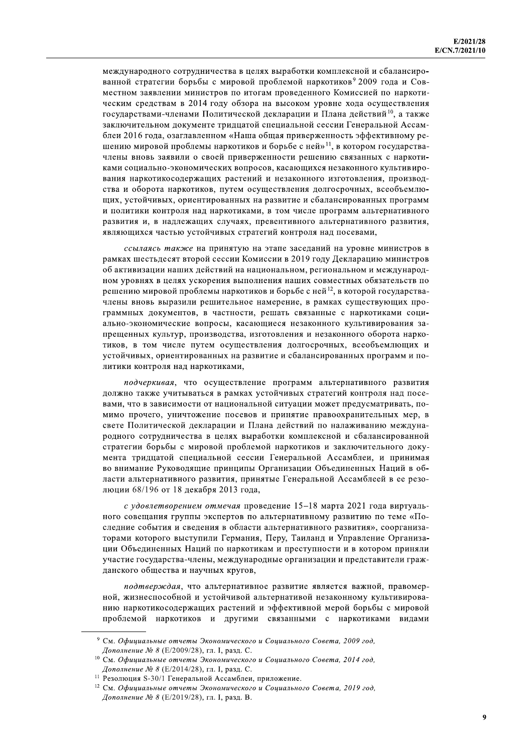международного сотрудничества в целях выработки комплексной и сбалансированной стратегии борьбы с мировой проблемой наркотиков<sup>9</sup> 2009 года и Совместном заявлении министров по итогам проведенного Комиссией по наркотическим средствам в 2014 году обзора на высоком уровне хода осуществления государствами-членами Политической декларации и Плана действий<sup>10</sup>, а также заключительном документе тридцатой специальной сессии Генеральной Ассамблеи 2016 года, озаглавленном «Наша общая приверженность эффективному решению мировой проблемы наркотиков и борьбе с ней»<sup>11</sup>, в котором государствачлены вновь заявили о своей приверженности решению связанных с наркотиками социально-экономических вопросов, касающихся незаконного культивирования наркотикосодержащих растений и незаконного изготовления, производства и оборота наркотиков, путем осуществления долгосрочных, всеобъемлющих, устойчивых, ориентированных на развитие и сбалансированных программ и политики контроля над наркотиками, в том числе программ альтернативного развития и, в надлежащих случаях, превентивного альтернативного развития, являющихся частью устойчивых стратегий контроля над посевами,

ссылаясь также на принятую на этапе заседаний на уровне министров в рамках шестьдесят второй сессии Комиссии в 2019 году Декларацию министров об активизации наших действий на национальном, региональном и международном уровнях в целях ускорения выполнения наших совместных обязательств по решению мировой проблемы наркотиков и борьбе с ней<sup>12</sup>, в которой государствачлены вновь выразили решительное намерение, в рамках существующих программных документов, в частности, решать связанные с наркотиками социально-экономические вопросы, касающиеся незаконного культивирования запрещенных культур, производства, изготовления и незаконного оборота наркотиков, в том числе путем осуществления долгосрочных, всеобъемлющих и устойчивых, ориентированных на развитие и сбалансированных программ и политики контроля над наркотиками,

подчеркивая, что осуществление программ альтернативного развития должно также учитываться в рамках устойчивых стратегий контроля над посевами, что в зависимости от национальной ситуации может предусматривать, помимо прочего, уничтожение посевов и принятие правоохранительных мер, в свете Политической декларации и Плана действий по налаживанию международного сотрудничества в целях выработки комплексной и сбалансированной стратегии борьбы с мировой проблемой наркотиков и заключительного документа тридцатой специальной сессии Генеральной Ассамблеи, и принимая во внимание Руководящие принципы Организации Объединенных Наций в области альтернативного развития, принятые Генеральной Ассамблеей в ее резолюции 68/196 от 18 декабря 2013 года.

с удовлетворением отмечая проведение 15-18 марта 2021 года виртуального совещания группы экспертов по альтернативному развитию по теме «Последние события и сведения в области альтернативного развития», соорганизаторами которого выступили Германия, Перу, Таиланд и Управление Организации Объединенных Наций по наркотикам и преступности и в котором приняли участие государства-члены, международные организации и представители гражданского общества и научных кругов,

подтверждая, что альтернативное развитие является важной, правомерной, жизнеспособной и устойчивой альтернативой незаконному культивированию наркотикосодержащих растений и эффективной мерой борьбы с мировой проблемой наркотиков и другими связанными с наркотиками видами

<sup>&</sup>lt;sup>9</sup> См. Официальные отчеты Экономического и Социального Совета, 2009 год, Дополнение № 8 (Е/2009/28), гл. I, разд. С.

 $10$  См. Официальные отчеты Экономического и Социального Совета, 2014 год, Дополнение № 8 (Е/2014/28), гл. I, разд. С.

<sup>&</sup>lt;sup>11</sup> Резолюция S-30/1 Генеральной Ассамблеи, приложение.

<sup>&</sup>lt;sup>12</sup> См. Официальные отчеты Экономического и Социального Совета, 2019 год, Дополнение № 8 (Е/2019/28), гл. I, разд. В.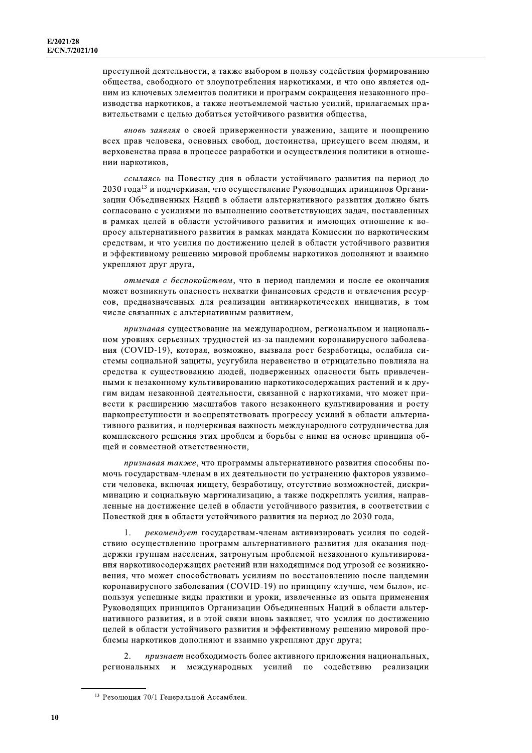преступной деятельности, а также выбором в пользу содействия формированию общества, свободного от злоупотребления наркотиками, и что оно является одним из ключевых элементов политики и программ сокращения незаконного производства наркотиков, а также неотъемлемой частью усилий, прилагаемых правительствами с целью добиться устойчивого развития общества,

вновь заявляя о своей приверженности уважению, защите и поощрению всех прав человека, основных свобод, достоинства, присущего всем людям, и верховенства права в процессе разработки и осуществления политики в отношении наркотиков,

ссылаясь на Повестку дня в области устойчивого развития на период до 2030 года<sup>13</sup> и подчеркивая, что осуществление Руководящих принципов Организации Объединенных Наций в области альтернативного развития должно быть согласовано с усилиями по выполнению соответствующих задач, поставленных в рамках целей в области устойчивого развития и имеющих отношение к вопросу альтернативного развития в рамках мандата Комиссии по наркотическим средствам, и что усилия по достижению целей в области устойчивого развития и эффективному решению мировой проблемы наркотиков дополняют и взаимно укрепляют друг друга,

отмечая с беспокойством, что в период пандемии и после ее окончания может возникнуть опасность нехватки финансовых средств и отвлечения ресурсов, предназначенных для реализации антинаркотических инициатив, в том числе связанных с альтернативным развитием,

признавая существование на международном, региональном и национальном уровнях серьезных трудностей из-за пандемии коронавирусного заболевания (COVID-19), которая, возможно, вызвала рост безработицы, ослабила системы социальной защиты, усугубила неравенство и отрицательно повлияла на средства к существованию людей, подверженных опасности быть привлеченными к незаконному культивированию наркотикосодержащих растений и к другим видам незаконной деятельности, связанной с наркотиками, что может привести к расширению масштабов такого незаконного культивирования и росту наркопреступности и воспрепятствовать прогрессу усилий в области альтернативного развития, и подчеркивая важность международного сотрудничества для комплексного решения этих проблем и борьбы с ними на основе принципа обшей и совместной ответственности.

признавая также, что программы альтернативного развития способны помочь государствам-членам в их деятельности по устранению факторов уязвимости человека, включая нищету, безработицу, отсутствие возможностей, дискриминацию и социальную маргинализацию, а также подкреплять усилия, направленные на достижение целей в области устойчивого развития, в соответствии с Повесткой дня в области устойчивого развития на период до 2030 года,

 $\mathbf{1}$ . рекомендует государствам-членам активизировать усилия по содействию осуществлению программ альтернативного развития для оказания поддержки группам населения, затронутым проблемой незаконного культивирования наркотикосодержащих растений или находящимся под угрозой ее возникновения, что может способствовать усилиям по восстановлению после пандемии коронавирусного заболевания (COVID-19) по принципу «лучше, чем было», используя успешные виды практики и уроки, извлеченные из опыта применения Руководящих принципов Организации Объединенных Наций в области альтернативного развития, и в этой связи вновь заявляет, что усилия по достижению целей в области устойчивого развития и эффективному решению мировой проблемы наркотиков дополняют и взаимно укрепляют друг друга;

 $\mathcal{D}$ признает необходимость более активного приложения национальных, региональных и международных усилий по содействию реализации

<sup>13</sup> Резолюция 70/1 Генеральной Ассамблеи.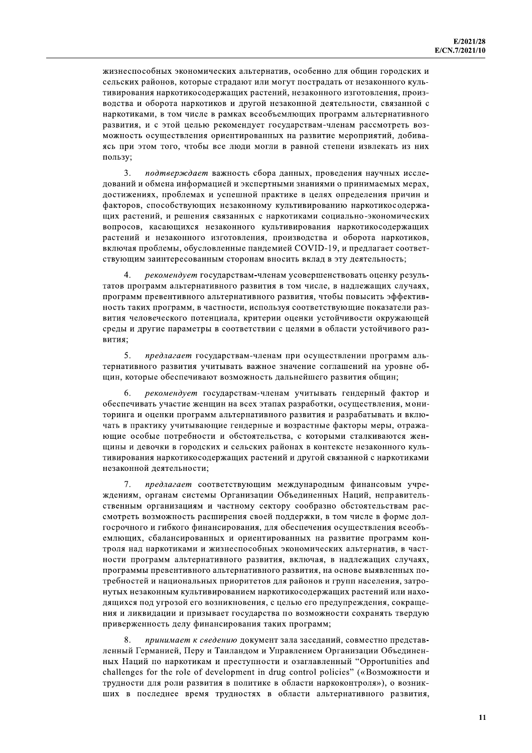жизнеспособных экономических альтернатив, особенно для общин городских и сельских районов, которые страдают или могут пострадать от незаконного культивирования наркотикосодержащих растений, незаконного изготовления, производства и оборота наркотиков и другой незаконной деятельности, связанной с наркотиками, в том числе в рамках всеобъемлющих программ альтернативного развития, и с этой целью рекомендует государствам-членам рассмотреть возможность осуществления ориентированных на развитие мероприятий, добиваясь при этом того, чтобы все люди могли в равной степени извлекать из них пользу;

3. подтверждает важность сбора данных, проведения научных исследований и обмена информацией и экспертными знаниями о принимаемых мерах, достижениях, проблемах и успешной практике в целях определения причин и факторов, способствующих незаконному культивированию наркотикосодержащих растений, и решения связанных с наркотиками социально-экономических вопросов, касающихся незаконного культивирования наркотикосодержащих растений и незаконного изготовления, производства и оборота наркотиков, включая проблемы, обусловленные пандемией COVID-19, и предлагает соответствующим заинтересованным сторонам вносить вклад в эту деятельность;

рекомендует государствам-членам усовершенствовать оценку результатов программ альтернативного развития в том числе, в надлежащих случаях, программ превентивного альтернативного развития, чтобы повысить эффективность таких программ, в частности, используя соответствующие показатели развития человеческого потенциала, критерии оценки устойчивости окружающей среды и другие параметры в соответствии с целями в области устойчивого развития:

5. предлагает государствам-членам при осуществлении программ альтернативного развития учитывать важное значение соглашений на уровне общин, которые обеспечивают возможность дальнейшего развития общин;

рекомендует государствам-членам учитывать гендерный фактор и 6. обеспечивать участие женщин на всех этапах разработки, осуществления, мониторинга и оценки программ альтернативного развития и разрабатывать и включать в практику учитывающие гендерные и возрастные факторы меры, отражающие особые потребности и обстоятельства, с которыми сталкиваются женшины и девочки в городских и сельских районах в контексте незаконного культивирования наркотикосодержащих растений и другой связанной с наркотиками незаконной деятельности;

7. предлагает соответствующим международным финансовым учреждениям, органам системы Организации Объединенных Наций, неправительственным организациям и частному сектору сообразно обстоятельствам рассмотреть возможность расширения своей поддержки, в том числе в форме долгосрочного и гибкого финансирования, для обеспечения осуществления всеобъемлющих, сбалансированных и ориентированных на развитие программ контроля над наркотиками и жизнеспособных экономических альтернатив, в частности программ альтернативного развития, включая, в надлежащих случаях, программы превентивного альтернативного развития, на основе выявленных потребностей и национальных приоритетов для районов и групп населения, затронутых незаконным культивированием наркотикосодержащих растений или находящихся под угрозой его возникновения, с целью его предупреждения, сокращения и ликвидации и призывает государства по возможности сохранять твердую приверженность делу финансирования таких программ;

принимает к сведению документ зала заседаний, совместно представленный Германией, Перу и Таиландом и Управлением Организации Объединенных Наций по наркотикам и преступности и озаглавленный "Opportunities and challenges for the role of development in drug control policies" («Возможности и трудности для роли развития в политике в области наркоконтроля»), о возникших в последнее время трудностях в области альтернативного развития,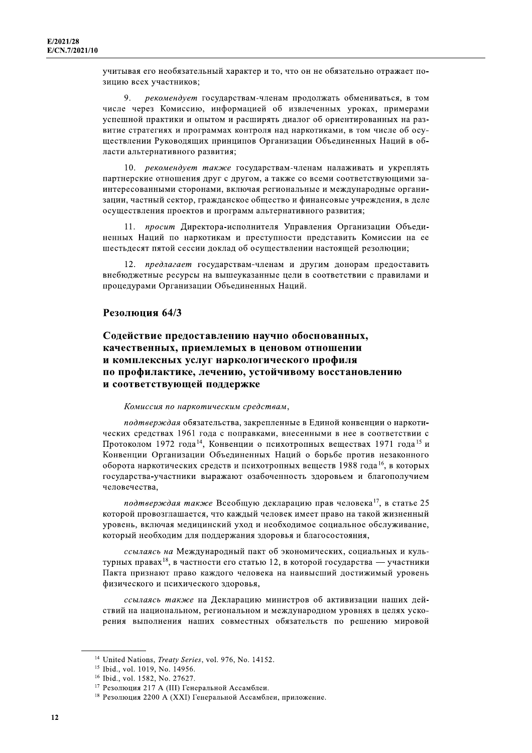учитывая его необязательный характер и то, что он не обязательно отражает позицию всех участников;

9. рекомендует государствам-членам продолжать обмениваться, в том числе через Комиссию, информацией об извлеченных уроках, примерами успешной практики и опытом и расширять диалог об ориентированных на развитие стратегиях и программах контроля над наркотиками, в том числе об осуществлении Руководящих принципов Организации Объединенных Наций в области альтернативного развития;

10. рекомендует также государствам-членам налаживать и укреплять партнерские отношения друг с другом, а также со всеми соответствующими заинтересованными сторонами, включая региональные и международные организации, частный сектор, гражданское общество и финансовые учреждения, в деле осуществления проектов и программ альтернативного развития;

11. просит Директора-исполнителя Управления Организации Объединенных Наций по наркотикам и преступности представить Комиссии на ее шестьдесят пятой сессии доклад об осуществлении настоящей резолюции;

12. предлагает государствам-членам и другим донорам предоставить внебюджетные ресурсы на вышеуказанные цели в соответствии с правилами и процедурами Организации Объединенных Наций.

### Резолюция 64/3

# Содействие предоставлению научно обоснованных, качественных, приемлемых в ценовом отношении и комплексных услуг наркологического профиля по профилактике, лечению, устойчивому восстановлению и соответствующей поддержке

#### Комиссия по наркотическим средствам,

подтверждая обязательства, закрепленные в Единой конвенции о наркотических средствах 1961 года с поправками, внесенными в нее в соответствии с Протоколом 1972 года<sup>14</sup>, Конвенции о психотропных веществах 1971 года<sup>15</sup> и Конвенции Организации Объединенных Наций о борьбе против незаконного оборота наркотических средств и психотропных веществ 1988 года<sup>16</sup>, в которых государства-участники выражают озабоченность здоровьем и благополучием человечества.

подтверждая также Всеобщую декларацию прав человека<sup>17</sup>, в статье 25 которой провозглашается, что каждый человек имеет право на такой жизненный уровень, включая медицинский уход и необходимое социальное обслуживание. который необходим для поддержания здоровья и благосостояния.

ссылаясь на Международный пакт об экономических, социальных и культурных правах<sup>18</sup>, в частности его статью 12, в которой государства — участники Пакта признают право каждого человека на наивысший достижимый уровень физического и психического здоровья,

ссылаясь также на Декларацию министров об активизации наших действий на национальном, региональном и международном уровнях в целях ускорения выполнения наших совместных обязательств по решению мировой

<sup>&</sup>lt;sup>14</sup> United Nations, *Treaty Series*, vol. 976, No. 14152.

<sup>&</sup>lt;sup>15</sup> Ibid., vol. 1019, No. 14956.

<sup>&</sup>lt;sup>16</sup> Ibid., vol. 1582, No. 27627.

<sup>&</sup>lt;sup>17</sup> Резолюция 217 А (III) Генеральной Ассамблеи.

<sup>&</sup>lt;sup>18</sup> Резолюция 2200 А (XXI) Генеральной Ассамблеи, приложение.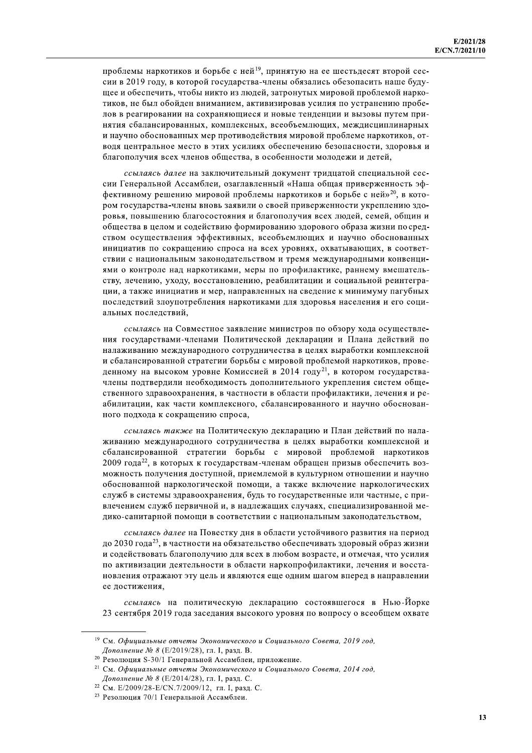проблемы наркотиков и борьбе с ней<sup>19</sup>, принятую на ее шестьдесят второй сессии в 2019 году, в которой государства-члены обязались обезопасить наше будущее и обеспечить, чтобы никто из людей, затронутых мировой проблемой наркотиков, не был обойден вниманием, активизировав усилия по устранению пробелов в реагировании на сохраняющиеся и новые тенденции и вызовы путем принятия сбалансированных, комплексных, всеобъемлющих, междисциплинарных и научно обоснованных мер противодействия мировой проблеме наркотиков, отводя центральное место в этих усилиях обеспечению безопасности, здоровья и благополучия всех членов общества, в особенности молодежи и детей,

ссылаясь далее на заключительный документ тридцатой специальной сессии Генеральной Ассамблеи, озаглавленный «Наша общая приверженность эффективному решению мировой проблемы наркотиков и борьбе с ней»<sup>20</sup>, в котором государства-члены вновь заявили о своей приверженности укреплению здоровья, повышению благосостояния и благополучия всех людей, семей, общин и общества в целом и содействию формированию здорового образа жизни по средством осуществления эффективных, всеобъемлющих и научно обоснованных инициатив по сокращению спроса на всех уровнях, охватывающих, в соответствии с национальным законодательством и тремя международными конвенциями о контроле над наркотиками, меры по профилактике, раннему вмешательству, лечению, уходу, восстановлению, реабилитации и социальной реинтеграции, а также инициатив и мер, направленных на сведение к минимуму пагубных последствий злоупотребления наркотиками для здоровья населения и его социальных последствий.

ссылаясь на Совместное заявление министров по обзору хода осуществления государствами-членами Политической декларации и Плана действий по налаживанию международного сотрудничества в целях выработки комплексной и сбалансированной стратегии борьбы с мировой проблемой наркотиков, проведенному на высоком уровне Комиссией в 2014 году<sup>21</sup>, в котором государствачлены подтвердили необходимость дополнительного укрепления систем общественного здравоохранения, в частности в области профилактики, лечения и реабилитации, как части комплексного, сбалансированного и научно обоснованного подхода к сокращению спроса,

ссылаясь также на Политическую декларацию и План действий по налаживанию международного сотрудничества в целях выработки комплексной и сбалансированной стратегии борьбы с мировой проблемой наркотиков 2009 года<sup>22</sup>, в которых к государствам-членам обращен призыв обеспечить возможность получения доступной, приемлемой в культурном отношении и научно обоснованной наркологической помощи, а также включение наркологических служб в системы здравоохранения, будь то государственные или частные, с привлечением служб первичной и, в надлежащих случаях, специализированной медико-санитарной помощи в соответствии с национальным законодательством,

ссылаясь далее на Повестку дня в области устойчивого развития на период до 2030 года<sup>23</sup>, в частности на обязательство обеспечивать здоровый образ жизни и содействовать благополучию для всех в любом возрасте, и отмечая, что усилия по активизации деятельности в области наркопрофилактики, лечения и восстановления отражают эту цель и являются еще одним шагом вперед в направлении ее достижения,

ссылаясь на политическую декларацию состоявшегося в Нью-Йорке 23 сентября 2019 года заседания высокого уровня по вопросу о всеобщем охвате

<sup>19</sup> См. Официальные отчеты Экономического и Социального Совета, 2019 год, Дополнение № 8 (Е/2019/28), гл. I, разд. В.

<sup>&</sup>lt;sup>20</sup> Резолюция S-30/1 Генеральной Ассамблеи, приложение.

<sup>&</sup>lt;sup>21</sup> См. Официальные отчеты Экономического и Социального Совета, 2014 год, Дополнение № 8 (Е/2014/28), гл. I, разд. С.

<sup>&</sup>lt;sup>22</sup> См. E/2009/28-E/CN.7/2009/12, гл. I, разд. С.

<sup>23</sup> Резолюция 70/1 Генеральной Ассамблеи.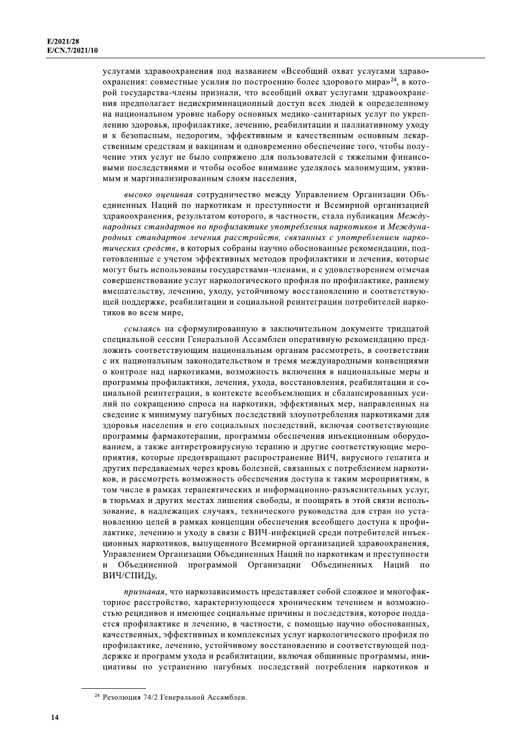услугами здравоохранения под названием «Всеобщий охват услугами здравоохранения: совместные усилия по построению более здорового мира»<sup>24</sup>, в которой государства-члены признали, что всеобщий охват услугами здравоохранения предполагает недискриминационный доступ всех людей к определенному на национальном уровне набору основных медико-санитарных услуг по укреплению здоровья, профилактике, лечению, реабилитации и паллиативному уходу и к безопасным, недорогим, эффективным и качественным основным лекарственным средствам и вакцинам и одновременно обеспечение того, чтобы получение этих услуг не было сопряжено для пользователей с тяжелыми финансовыми последствиями и чтобы особое внимание уделялось малоимущим, уязвимым и маргинализированным слоям населения,

высоко оценивая сотрудничество между Управлением Организации Объединенных Наций по наркотикам и преступности и Всемирной организацией здравоохранения, результатом которого, в частности, стала публикация Международных стандартов по профилактике употребления наркотиков и Международных стандартов лечения расстройств, связанных с употреблением наркотических средств, в которых собраны научно обоснованные рекомендации, подготовленные с учетом эффективных методов профилактики и лечения, которые могут быть использованы государствами-членами, и с удовлетворением отмечая совершенствование услуг наркологического профиля по профилактике, раннему вмешательству, лечению, уходу, устойчивому восстановлению и соответствующей поддержке, реабилитации и социальной реинтеграции потребителей наркотиков во всем мире.

ссылаясь на сформулированную в заключительном документе тридцатой специальной сессии Генеральной Ассамблеи оперативную рекомендацию предложить соответствующим национальным органам рассмотреть, в соответствии с их национальным законодательством и тремя международными конвенциями о контроле над наркотиками, возможность включения в национальные меры и программы профилактики, лечения, ухода, восстановления, реабилитации и социальной реинтеграции, в контексте всеобъемлющих и сбалансированных усилий по сокращению спроса на наркотики, эффективных мер, направленных на сведение к минимуму пагубных последствий злоупотребления наркотиками для здоровья населения и его социальных последствий, включая соответствующие программы фармакотерапии, программы обеспечения инъекционным оборудованием, а также антиретровирусную терапию и другие соответствующие мероприятия, которые предотвращают распространение ВИЧ, вирусного гепатита и других передаваемых через кровь болезней, связанных с потреблением наркотиков, и рассмотреть возможность обеспечения доступа к таким мероприятиям, в том числе в рамках терапевтических и информационно-разъяснительных услуг, в тюрьмах и других местах лишения свободы, и поощрять в этой связи использование, в надлежащих случаях, технического руководства для стран по установлению целей в рамках концепции обеспечения всеобщего доступа к профилактике, лечению и уходу в связи с ВИЧ-инфекцией среди потребителей инъекционных наркотиков, выпущенного Всемирной организацией здравоохранения, Управлением Организации Объединенных Наций по наркотикам и преступности Объединенной программой Организации Объединенных  $\overline{u}$ Наций  $\overline{u}$ ВИЧ/СПИДу,

признавая, что наркозависимость представляет собой сложное и многофакторное расстройство, характеризующееся хроническим течением и возможностью рецидивов и имеющее социальные причины и последствия, которое поддается профилактике и лечению, в частности, с помощью научно обоснованных, качественных, эффективных и комплексных услуг наркологического профиля по профилактике, лечению, устойчивому восстановлению и соответствующей поддержке и программ ухода и реабилитации, включая общинные программы, инициативы по устранению пагубных последствий потребления наркотиков и

<sup>24</sup> Резолюция 74/2 Генеральной Ассамблеи.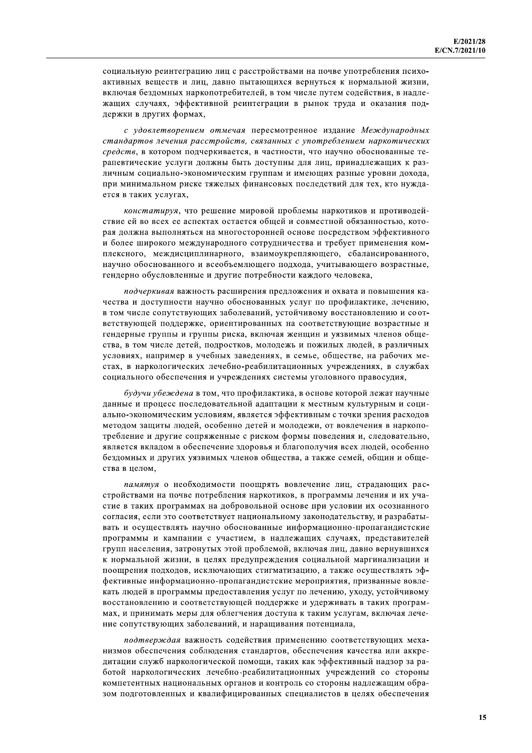социальную реинтеграцию лиц с расстройствами на почве употребления психоактивных веществ и лиц, давно пытающихся вернуться к нормальной жизни, включая бездомных наркопотребителей, в том числе путем содействия, в надлежащих случаях, эффективной реинтеграции в рынок труда и оказания поддержки в других формах,

с удовлетворением отмечая пересмотренное издание Международных стандартов лечения расстройств, связанных с употреблением наркотических средств, в котором подчеркивается, в частности, что научно обоснованные терапевтические услуги должны быть доступны для лиц, принадлежащих к различным социально-экономическим группам и имеющих разные уровни дохода, при минимальном риске тяжелых финансовых последствий для тех, кто нуждается в таких услугах,

констатируя, что решение мировой проблемы наркотиков и противодействие ей во всех ее аспектах остается общей и совместной обязанностью, которая должна выполняться на многосторонней основе посредством эффективного и более широкого международного сотрудничества и требует применения комплексного, междисциплинарного, взаимоукрепляющего, сбалансированного, научно обоснованного и всеобъемлющего подхода, учитывающего возрастные, гендерно обусловленные и другие потребности каждого человека,

подчеркивая важность расширения предложения и охвата и повышения качества и доступности научно обоснованных услуг по профилактике, лечению, в том числе сопутствующих заболеваний, устойчивому восстановлению и соответствующей поддержке, ориентированных на соответствующие возрастные и гендерные группы и группы риска, включая женщин и уязвимых членов общества, в том числе детей, подростков, молодежь и пожилых людей, в различных условиях, например в учебных заведениях, в семье, обществе, на рабочих местах, в наркологических лечебно-реабилитационных учреждениях, в службах социального обеспечения и учреждениях системы уголовного правосудия,

будучи убеждена в том, что профилактика, в основе которой лежат научные данные и процесс последовательной адаптации к местным культурным и социально-экономическим условиям, является эффективным с точки зрения расходов методом защиты людей, особенно детей и молодежи, от вовлечения в наркопотребление и другие сопряженные с риском формы поведения и, следовательно, является вкладом в обеспечение здоровья и благополучия всех людей, особенно бездомных и других уязвимых членов общества, а также семей, общин и общества в целом.

памятуя о необходимости поощрять вовлечение лиц, страдающих расстройствами на почве потребления наркотиков, в программы лечения и их участие в таких программах на добровольной основе при условии их осознанного согласия, если это соответствует национальному законодательству, и разрабатывать и осуществлять научно обоснованные информационно-пропагандистские программы и кампании с участием, в надлежащих случаях, представителей групп населения, затронутых этой проблемой, включая лиц, давно вернувшихся к нормальной жизни, в целях предупреждения социальной маргинализации и поощрения подходов, исключающих стигматизацию, а также осуществлять эффективные информационно-пропагандистские мероприятия, призванные вовлекать людей в программы предоставления услуг по лечению, уходу, устойчивому восстановлению и соответствующей поддержке и удерживать в таких программах, и принимать меры для облегчения доступа к таким услугам, включая лечение сопутствующих заболеваний, и наращивания потенциала,

подтверждая важность содействия применению соответствующих механизмов обеспечения соблюдения стандартов, обеспечения качества или аккредитации служб наркологической помощи, таких как эффективный надзор за работой наркологических лечебно-реабилитационных учреждений со стороны компетентных национальных органов и контроль со стороны надлежащим образом подготовленных и квалифицированных специалистов в целях обеспечения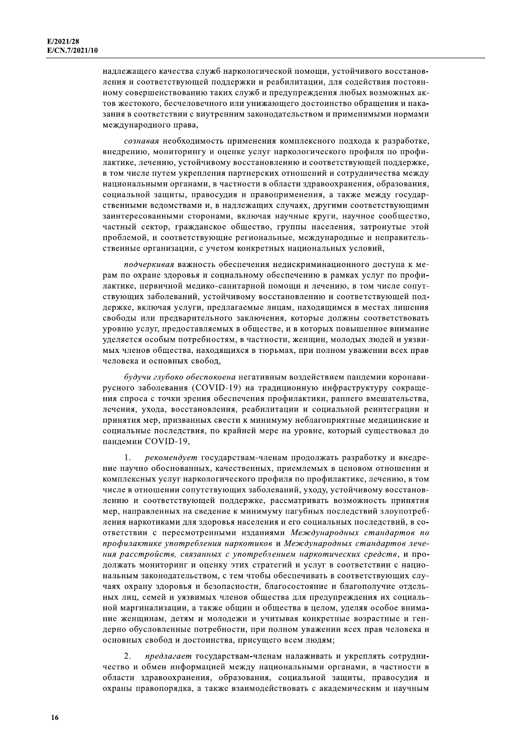надлежащего качества служб наркологической помощи, устойчивого восстановления и соответствующей поддержки и реабилитации, для содействия постоянному совершенствованию таких служб и предупреждения любых возможных актов жестокого, бесчеловечного или унижающего достоинство обращения и наказания в соответствии с внутренним законодательством и применимыми нормами международного права,

сознавая необходимость применения комплексного подхода к разработке, внедрению, мониторингу и оценке услуг наркологического профиля по профилактике, лечению, устойчивому восстановлению и соответствующей поддержке, в том числе путем укрепления партнерских отношений и сотрудничества между национальными органами, в частности в области здравоохранения, образования, социальной защиты, правосудия и правоприменения, а также между государственными ведомствами и, в надлежащих случаях, другими соответствующими заинтересованными сторонами, включая научные круги, научное сообщество, частный сектор, гражданское общество, группы населения, затронутые этой проблемой, и соответствующие региональные, международные и неправительственные организации, с учетом конкретных национальных условий,

подчеркивая важность обеспечения недискриминационного доступа к мерам по охране здоровья и социальному обеспечению в рамках услуг по профилактике, первичной медико-санитарной помощи и лечению, в том числе сопутствующих заболеваний, устойчивому восстановлению и соответствующей поддержке, включая услуги, предлагаемые лицам, находящимся в местах лишения свободы или предварительного заключения, которые должны соответствовать уровню услуг, предоставляемых в обществе, и в которых повышенное внимание уделяется особым потребностям, в частности, женщин, молодых людей и уязвимых членов общества, находящихся в тюрьмах, при полном уважении всех прав человека и основных свобод,

будучи глубоко обеспокоена негативным воздействием пандемии коронавирусного заболевания (COVID-19) на традиционную инфраструктуру сокращения спроса с точки зрения обеспечения профилактики, раннего вмешательства, лечения, ухода, восстановления, реабилитации и социальной реинтеграции и принятия мер, призванных свести к минимуму неблагоприятные медицинские и социальные последствия, по крайней мере на уровне, который существовал до пандемии COVID-19,

рекомендует государствам-членам продолжать разработку и внедре- $\mathbf{1}$ ние научно обоснованных, качественных, приемлемых в ценовом отношении и комплексных услуг наркологического профиля по профилактике, лечению, в том числе в отношении сопутствующих заболеваний, уходу, устойчивому восстановлению и соответствующей поддержке, рассматривать возможность принятия мер, направленных на сведение к минимуму пагубных последствий злоупотребления наркотиками для здоровья населения и его социальных последствий, в соответствии с пересмотренными изданиями Международных стандартов по профилактике употребления наркотиков и Международных стандартов лечения расстройств, связанных с употреблением наркотических средств, и продолжать мониторинг и оценку этих стратегий и услуг в соответствии с национальным законодательством, с тем чтобы обеспечивать в соответствующих случаях охрану здоровья и безопасности, благосостояние и благополучие отдельных лиц, семей и уязвимых членов общества для предупреждения их социальной маргинализации, а также общин и общества в целом, уделяя особое внимание женщинам, детям и молодежи и учитывая конкретные возрастные и гендерно обусловленные потребности, при полном уважении всех прав человека и основных свобод и достоинства, присущего всем людям;

 $2.$ предлагает государствам-членам налаживать и укреплять сотрудничество и обмен информацией между национальными органами, в частности в области здравоохранения, образования, социальной защиты, правосудия и охраны правопорядка, а также взаимодействовать с академическим и научным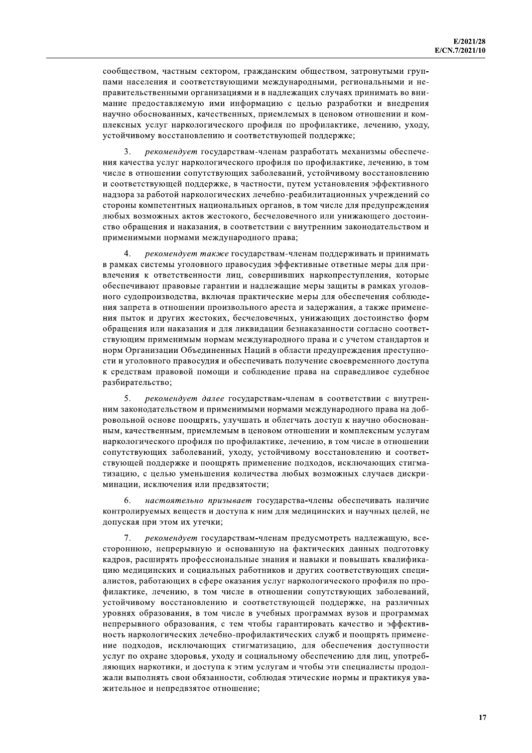сообществом, частным сектором, гражданским обществом, затронутыми группами населения и соответствующими международными, региональными и неправительственными организациями и в надлежащих случаях принимать во внимание предоставляемую ими информацию с целью разработки и внедрения научно обоснованных, качественных, приемлемых в ценовом отношении и комплексных услуг наркологического профиля по профилактике, лечению, уходу, устойчивому восстановлению и соответствующей поддержке;

рекомендует государствам-членам разработать механизмы обеспече-3. ния качества услуг наркологического профиля по профилактике, лечению, в том числе в отношении сопутствующих заболеваний, устойчивому восстановлению и соответствующей поддержке, в частности, путем установления эффективного надзора за работой наркологических лечебно-реабилитационных учреждений со стороны компетентных национальных органов, в том числе для предупреждения любых возможных актов жестокого, бесчеловечного или унижающего достоинство обращения и наказания, в соответствии с внутренним законодательством и применимыми нормами международного права;

рекомендует также государствам-членам поддерживать и принимать в рамках системы уголовного правосудия эффективные ответные меры для привлечения к ответственности лиц, совершивших наркопреступления, которые обеспечивают правовые гарантии и надлежащие меры защиты в рамках уголовного судопроизводства, включая практические меры для обеспечения соблюдения запрета в отношении произвольного ареста и задержания, а также применения пыток и других жестоких, бесчеловечных, унижающих достоинство форм обращения или наказания и для ликвидации безнаказанности согласно соответствующим применимым нормам международного права и с учетом стандартов и норм Организации Объединенных Наций в области предупреждения преступности и уголовного правосудия и обеспечивать получение своевременного доступа к средствам правовой помощи и соблюдение права на справедливое судебное разбирательство;

5. рекомендует далее государствам-членам в соответствии с внутренним законодательством и применимыми нормами международного права на добровольной основе поощрять, улучшать и облегчать доступ к научно обоснованным, качественным, приемлемым в ценовом отношении и комплексным услугам наркологического профиля по профилактике, лечению, в том числе в отношении сопутствующих заболеваний, уходу, устойчивому восстановлению и соответствующей поддержке и поощрять применение подходов, исключающих стигматизацию, с целью уменьшения количества любых возможных случаев дискриминации, исключения или предвзятости;

6 настоятельно призывает государства-члены обеспечивать наличие контролируемых веществ и доступа к ним для медицинских и научных целей, не допуская при этом их утечки;

 $7<sup>1</sup>$ рекомендует государствам-членам предусмотреть надлежащую, всестороннюю, непрерывную и основанную на фактических данных подготовку кадров, расширять профессиональные знания и навыки и повышать квалификацию медицинских и социальных работников и других соответствующих специалистов, работающих в сфере оказания услуг наркологического профиля по профилактике, лечению, в том числе в отношении сопутствующих заболеваний, устойчивому восстановлению и соответствующей поддержке, на различных уровнях образования, в том числе в учебных программах вузов и программах непрерывного образования, с тем чтобы гарантировать качество и эффективность наркологических лечебно-профилактических служб и поощрять применение подходов, исключающих стигматизацию, для обеспечения доступности услуг по охране здоровья, уходу и социальному обеспечению для лиц, употребляющих наркотики, и доступа к этим услугам и чтобы эти специалисты продолжали выполнять свои обязанности, соблюдая этические нормы и практикуя уважительное и непредвзятое отношение;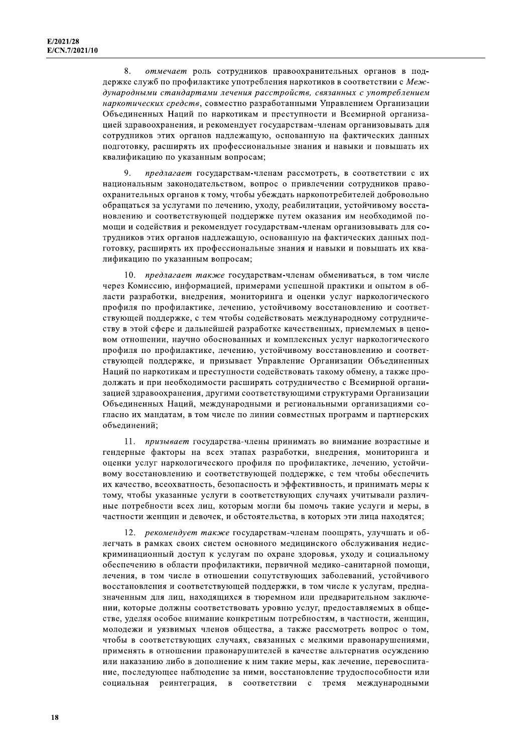8. отмечает роль сотрудников правоохранительных органов в поддержке служб по профилактике употребления наркотиков в соответствии с Международными стандартами лечения расстройств, связанных с употреблением наркотических средств, совместно разработанными Управлением Организации Объединенных Наций по наркотикам и преступности и Всемирной организацией здравоохранения, и рекомендует государствам-членам организовывать для сотрудников этих органов надлежащую, основанную на фактических данных подготовку, расширять их профессиональные знания и навыки и повышать их квалификацию по указанным вопросам;

 $\mathbf{Q}$ предлагает государствам-членам рассмотреть, в соответствии с их национальным законодательством, вопрос о привлечении сотрудников правоохранительных органов к тому, чтобы убеждать наркопотребителей добровольно обращаться за услугами по лечению, уходу, реабилитации, устойчивому восстановлению и соответствующей поддержке путем оказания им необходимой помощи и содействия и рекомендует государствам-членам организовывать для сотрудников этих органов надлежащую, основанную на фактических данных подготовку, расширять их профессиональные знания и навыки и повышать их квалификацию по указанным вопросам;

10. предлагает также государствам-членам обмениваться, в том числе через Комиссию, информацией, примерами успешной практики и опытом в области разработки, внедрения, мониторинга и оценки услуг наркологического профиля по профилактике, лечению, устойчивому восстановлению и соответствующей поддержке, с тем чтобы содействовать международному сотрудничеству в этой сфере и дальнейшей разработке качественных, приемлемых в ценовом отношении, научно обоснованных и комплексных услуг наркологического профиля по профилактике, лечению, устойчивому восстановлению и соответствующей поддержке, и призывает Управление Организации Объединенных Наций по наркотикам и преступности содействовать такому обмену, а также продолжать и при необходимости расширять сотрудничество с Всемирной организацией здравоохранения, другими соответствующими структурами Организации Объединенных Наций, международными и региональными организациями согласно их мандатам, в том числе по линии совместных программ и партнерских объединений;

11. призывает государства-члены принимать во внимание возрастные и гендерные факторы на всех этапах разработки, внедрения, мониторинга и оценки услуг наркологического профиля по профилактике, лечению, устойчивому восстановлению и соответствующей поддержке, с тем чтобы обеспечить их качество, всеохватность, безопасность и эффективность, и принимать меры к тому, чтобы указанные услуги в соответствующих случаях учитывали различные потребности всех лиц, которым могли бы помочь такие услуги и меры, в частности женщин и девочек, и обстоятельства, в которых эти лица находятся;

12. рекомендует также государствам-членам поощрять, улучшать и облегчать в рамках своих систем основного медицинского обслуживания недискриминационный доступ к услугам по охране здоровья, уходу и социальному обеспечению в области профилактики, первичной медико-санитарной помощи, лечения, в том числе в отношении сопутствующих заболеваний, устойчивого восстановления и соответствующей поддержки, в том числе к услугам, предназначенным для лиц, находящихся в тюремном или предварительном заключении, которые должны соответствовать уровню услуг, предоставляемых в обществе, уделяя особое внимание конкретным потребностям, в частности, женщин, молодежи и уязвимых членов общества, а также рассмотреть вопрос о том, чтобы в соответствующих случаях, связанных с мелкими правонарушениями, применять в отношении правонарушителей в качестве альтернатив осуждению или наказанию либо в дополнение к ним такие меры, как лечение, перевоспитание, последующее наблюдение за ними, восстановление трудоспособности или социальная реинтеграция, в соответствии с тремя международными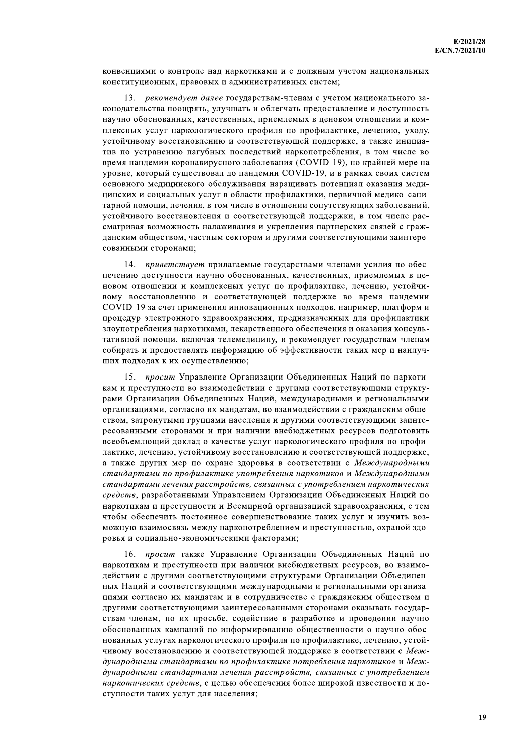конвенциями о контроле над наркотиками и с должным учетом национальных конституционных, правовых и административных систем;

13. рекомендует далее государствам-членам с учетом национального законодательства поощрять, улучшать и облегчать предоставление и доступность научно обоснованных, качественных, приемлемых в ценовом отношении и комплексных услуг наркологического профиля по профилактике, лечению, уходу, устойчивому восстановлению и соответствующей поддержке, а также инициатив по устранению пагубных последствий наркопотребления, в том числе во время пандемии коронавирусного заболевания (COVID-19), по крайней мере на уровне, который существовал до пандемии COVID-19, и в рамках своих систем основного медицинского обслуживания наращивать потенциал оказания медицинских и социальных услуг в области профилактики, первичной медико-санитарной помощи, лечения, в том числе в отношении сопутствующих заболеваний, устойчивого восстановления и соответствующей поддержки, в том числе рассматривая возможность налаживания и укрепления партнерских связей с гражданским обществом, частным сектором и другими соответствующими заинтересованными сторонами;

14. приветствует прилагаемые государствами-членами усилия по обеспечению доступности научно обоснованных, качественных, приемлемых в ценовом отношении и комплексных услуг по профилактике, лечению, устойчивому восстановлению и соответствующей поддержке во время пандемии COVID-19 за счет применения инновационных подходов, например, платформ и процедур электронного здравоохранения, предназначенных для профилактики злоупотребления наркотиками, лекарственного обеспечения и оказания консультативной помощи, включая телемедицину, и рекомендует государствам-членам собирать и предоставлять информацию об эффективности таких мер и наилучших подходах к их осуществлению;

15. просит Управление Организации Объединенных Наций по наркотикам и преступности во взаимодействии с другими соответствующими структурами Организации Объединенных Наций, международными и региональными организациями, согласно их мандатам, во взаимодействии с гражданским обществом, затронутыми группами населения и другими соответствующими заинтересованными сторонами и при наличии внебюджетных ресурсов подготовить всеобъемлющий доклад о качестве услуг наркологического профиля по профилактике, лечению, устойчивому восстановлению и соответствующей поддержке, а также других мер по охране здоровья в соответствии с Международными стандартами по профилактике употребления наркотиков и Международными стандартами лечения расстройств, связанных с употреблением наркотических средств, разработанными Управлением Организации Объединенных Наций по наркотикам и преступности и Всемирной организацией здравоохранения, с тем чтобы обеспечить постоянное совершенствование таких услуг и изучить возможную взаимосвязь между наркопотреблением и преступностью, охраной здоровья и социально-экономическими факторами;

16. просит также Управление Организации Объединенных Наций по наркотикам и преступности при наличии внебюджетных ресурсов, во взаимодействии с другими соответствующими структурами Организации Объединенных Наций и соответствующими международными и региональными организациями согласно их мандатам и в сотрудничестве с гражданским обществом и другими соответствующими заинтересованными сторонами оказывать государствам-членам, по их просьбе, содействие в разработке и проведении научно обоснованных кампаний по информированию общественности о научно обоснованных услугах наркологического профиля по профилактике, лечению, устойчивому восстановлению и соответствующей поддержке в соответствии с Международными стандартами по профилактике потребления наркотиков и Международными стандартами лечения расстройств, связанных с употреблением наркотических средств, с целью обеспечения более широкой известности и доступности таких услуг для населения;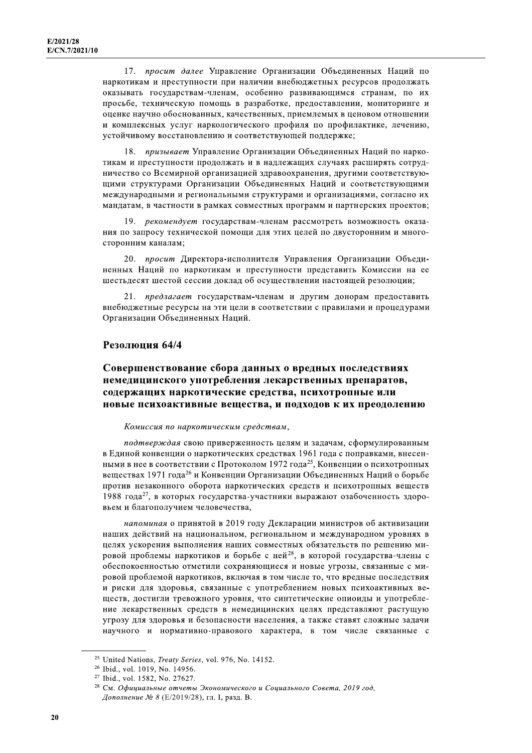17. просит далее Управление Организации Объединенных Наций по наркотикам и преступности при наличии внебюджетных ресурсов продолжать оказывать государствам-членам, особенно развивающимся странам, по их просьбе, техническую помощь в разработке, предоставлении, мониторинге и оценке научно обоснованных, качественных, приемлемых в ценовом отношении и комплексных услуг наркологического профиля по профилактике, лечению, устойчивому восстановлению и соответствующей поддержке;

18. призывает Управление Организации Объединенных Наций по наркотикам и преступности продолжать и в надлежащих случаях расширять сотрудничество со Всемирной организацией здравоохранения, другими соответствующими структурами Организации Объединенных Наций и соответствующими международными и региональными структурами и организациями, согласно их мандатам, в частности в рамках совместных программ и партнерских проектов;

19. рекомендует государствам-членам рассмотреть возможность оказания по запросу технической помощи для этих целей по двусторонним и многосторонним каналам;

20. просит Директора-исполнителя Управления Организации Объединенных Наций по наркотикам и преступности представить Комиссии на ее шестьдесят шестой сессии доклад об осуществлении настоящей резолюции;

21. предлагает государствам-членам и другим донорам предоставить внебюджетные ресурсы на эти цели в соответствии с правилами и процедурами Организации Объединенных Наций.

### Резолюция 64/4

# Совершенствование сбора данных о вредных последствиях немедицинского употребления лекарственных препаратов, содержащих наркотические средства, психотропные или новые психоактивные вещества, и подходов к их преодолению

### Комиссия по наркотическим средствам,

подтверждая свою приверженность целям и задачам, сформулированным в Единой конвенции о наркотических средствах 1961 года с поправками, внесенными в нее в соответствии с Протоколом 1972 года<sup>25</sup>, Конвенции о психотропных веществах 1971 года<sup>26</sup> и Конвенции Организации Объединенных Наций о борьбе против незаконного оборота наркотических средств и психотропных веществ 1988 года<sup>27</sup>, в которых государства-участники выражают озабоченность здоровьем и благополучием человечества,

напоминая о принятой в 2019 году Декларации министров об активизации наших действий на национальном, региональном и международном уровнях в целях ускорения выполнения наших совместных обязательств по решению мировой проблемы наркотиков и борьбе с ней<sup>28</sup>, в которой государства-члены с обеспокоенностью отметили сохраняющиеся и новые угрозы, связанные с мировой проблемой наркотиков, включая в том числе то, что вредные последствия и риски для здоровья, связанные с употреблением новых психоактивных веществ, достигли тревожного уровня, что синтетические опиоиды и употребление лекарственных средств в немедицинских целях представляют растущую угрозу для здоровья и безопасности населения, а также ставят сложные задачи научного и нормативно-правового характера, в том числе связанные с

<sup>&</sup>lt;sup>25</sup> United Nations, *Treaty Series*, vol. 976, No. 14152.

<sup>&</sup>lt;sup>26</sup> Ibid., vol. 1019, No. 14956.

<sup>&</sup>lt;sup>27</sup> Ibid., vol. 1582, No. 27627.

<sup>&</sup>lt;sup>28</sup> См. Официальные отчеты Экономического и Социального Совета, 2019 год, Дополнение № 8 (Е/2019/28), гл. I, разд. В.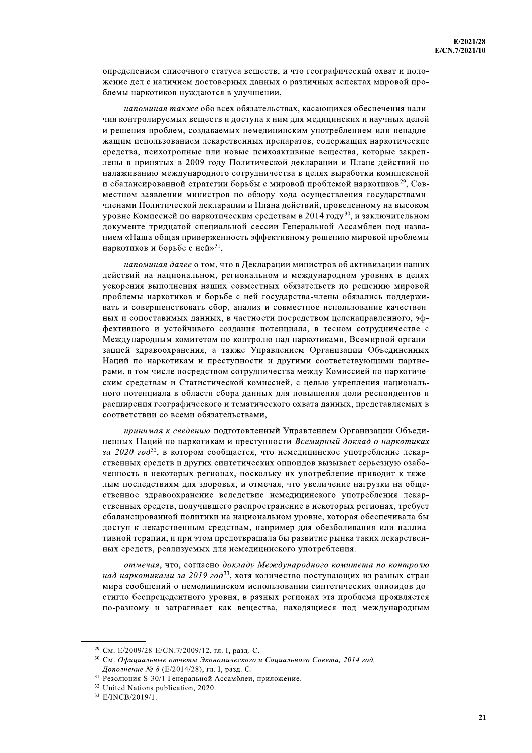определением списочного статуса веществ, и что географический охват и положение дел с наличием достоверных данных о различных аспектах мировой проблемы наркотиков нуждаются в улучшении,

напоминая также обо всех обязательствах, касающихся обеспечения наличия контролируемых веществ и доступа к ним для медицинских и научных целей и решения проблем, создаваемых немедицинским употреблением или ненадлежащим использованием лекарственных препаратов, содержащих наркотические средства, психотропные или новые психоактивные вещества, которые закреплены в принятых в 2009 году Политической декларации и Плане действий по налаживанию международного сотрудничества в целях выработки комплексной и сбалансированной стратегии борьбы с мировой проблемой наркотиков<sup>29</sup>, Совместном заявлении министров по обзору хода осуществления государствамичленами Политической декларации и Плана действий, проведенному на высоком уровне Комиссией по наркотическим средствам в 2014 году<sup>30</sup>, и заключительном документе тридцатой специальной сессии Генеральной Ассамблеи под названием «Наша общая приверженность эффективному решению мировой проблемы наркотиков и борьбе с ней»<sup>31</sup>,

напоминая далее о том, что в Декларации министров об активизации наших действий на национальном, региональном и международном уровнях в целях ускорения выполнения наших совместных обязательств по решению мировой проблемы наркотиков и борьбе с ней государства-члены обязались поддерживать и совершенствовать сбор, анализ и совместное использование качественных и сопоставимых данных, в частности посредством целенаправленного, эффективного и устойчивого создания потенциала, в тесном сотрудничестве с Международным комитетом по контролю над наркотиками, Всемирной организацией здравоохранения, а также Управлением Организации Объединенных Наций по наркотикам и преступности и другими соответствующими партнерами, в том числе посредством сотрудничества между Комиссией по наркотическим средствам и Статистической комиссией, с целью укрепления национального потенциала в области сбора данных для повышения доли респондентов и расширения географического и тематического охвата данных, представляемых в соответствии со всеми обязательствами.

принимая к сведению подготовленный Управлением Организации Объединенных Наций по наркотикам и преступности Всемирный доклад о наркотиках за 2020 год<sup>32</sup>, в котором сообщается, что немедицинское употребление лекарственных средств и других синтетических опиоидов вызывает серьезную озабоченность в некоторых регионах, поскольку их употребление приводит к тяжелым последствиям для здоровья, и отмечая, что увеличение нагрузки на общественное здравоохранение вследствие немедицинского употребления лекарственных средств, получившего распространение в некоторых регионах, требует сбалансированной политики на национальном уровне, которая обеспечивала бы доступ к лекарственным средствам, например для обезболивания или паллиативной терапии, и при этом предотвращала бы развитие рынка таких лекарственных средств, реализуемых для немедицинского употребления.

отмечая, что, согласно докладу Международного комитета по контролю над наркотиками за 2019 год<sup>33</sup>, хотя количество поступающих из разных стран мира сообщений о немедицинском использовании синтетических опиоидов достигло беспрецедентного уровня, в разных регионах эта проблема проявляется по-разному и затрагивает как вещества, находящиеся под международным

<sup>&</sup>lt;sup>29</sup> См. E/2009/28-E/CN.7/2009/12, гл. I, разд. С.

<sup>&</sup>lt;sup>30</sup> См. Официальные отчеты Экономического и Социального Совета, 2014 год, Дополнение № 8 (Е/2014/28), гл. I, разд. С.

<sup>&</sup>lt;sup>31</sup> Резолюция S-30/1 Генеральной Ассамблеи, приложение.

<sup>&</sup>lt;sup>32</sup> United Nations publication, 2020.

<sup>&</sup>lt;sup>33</sup> E/INCB/2019/1.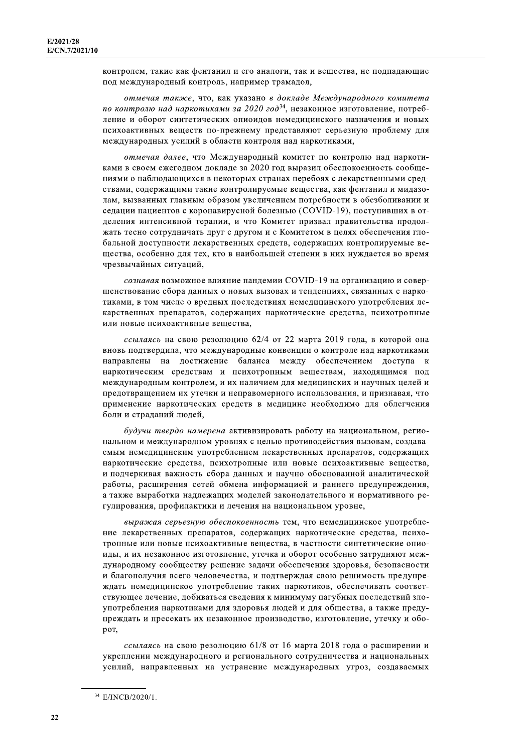контролем, такие как фентанил и его аналоги, так и вещества, не подпадающие под международный контроль, например трамадол,

отмечая также, что, как указано в докладе Международного комитета по контролю над наркотиками за 2020 год<sup>34</sup>, незаконное изготовление, потребление и оборот синтетических опиоидов немедицинского назначения и новых психоактивных веществ по-прежнему представляют серьезную проблему для международных усилий в области контроля над наркотиками,

отмечая далее, что Международный комитет по контролю над наркотиками в своем ежегодном докладе за 2020 год выразил обеспокоенность сообщениями о наблюдающихся в некоторых странах перебоях с лекарственными средствами, содержащими такие контролируемые вещества, как фентанил и мидазолам, вызванных главным образом увеличением потребности в обезболивании и седации пациентов с коронавирусной болезнью (COVID-19), поступивших в отделения интенсивной терапии, и что Комитет призвал правительства продолжать тесно сотрудничать друг с другом и с Комитетом в целях обеспечения глобальной доступности лекарственных средств, содержащих контролируемые вещества, особенно для тех, кто в наибольшей степени в них нуждается во время чрезвычайных ситуаций,

сознавая возможное влияние пандемии COVID-19 на организацию и совершенствование сбора данных о новых вызовах и тенденциях, связанных с наркотиками, в том числе о вредных последствиях немедицинского употребления лекарственных препаратов, содержащих наркотические средства, психотропные или новые психоактивные вещества.

ссылаясь на свою резолюцию 62/4 от 22 марта 2019 года, в которой она вновь подтвердила, что международные конвенции о контроле над наркотиками направлены на достижение баланса между обеспечением доступа к наркотическим средствам и психотропным веществам, находящимся под международным контролем, и их наличием для медицинских и научных целей и предотвращением их утечки и неправомерного использования, и признавая, что применение наркотических средств в медицине необходимо для облегчения боли и страданий людей,

будучи твердо намерена активизировать работу на национальном, региональном и международном уровнях с целью противодействия вызовам, создаваемым немедицинским употреблением лекарственных препаратов, содержащих наркотические средства, психотропные или новые психоактивные вещества, и подчеркивая важность сбора данных и научно обоснованной аналитической работы, расширения сетей обмена информацией и раннего предупреждения, а также выработки надлежащих моделей законодательного и нормативного регулирования, профилактики и лечения на национальном уровне,

выражая серьезную обеспокоенность тем, что немедицинское употребление лекарственных препаратов, содержащих наркотические средства, психотропные или новые психоактивные вещества, в частности синтетические опиоиды, и их незаконное изготовление, утечка и оборот особенно затрудняют международному сообществу решение задачи обеспечения здоровья, безопасности и благополучия всего человечества, и подтверждая свою решимость предупреждать немедицинское употребление таких наркотиков, обеспечивать соответствующее лечение, добиваться сведения к минимуму пагубных последствий злоупотребления наркотиками для здоровья людей и для общества, а также предупреждать и пресекать их незаконное производство, изготовление, утечку и оборот,

ссылаясь на свою резолюцию 61/8 от 16 марта 2018 года о расширении и укреплении международного и регионального сотрудничества и национальных усилий, направленных на устранение международных угроз, создаваемых

<sup>&</sup>lt;sup>34</sup> E/INCB/2020/1.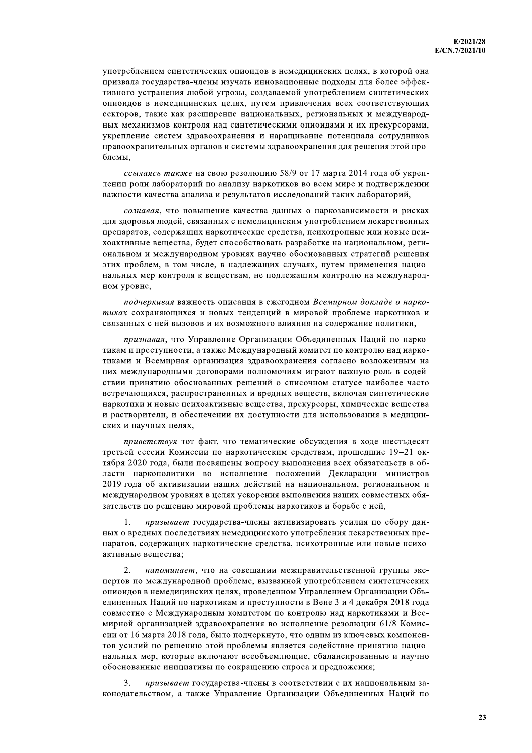употреблением синтетических опиоидов в немедицинских целях, в которой она призвала государства-члены изучать инновационные подходы для более эффективного устранения любой угрозы, создаваемой употреблением синтетических опиоидов в немедицинских целях, путем привлечения всех соответствующих секторов, такие как расширение национальных, региональных и международных механизмов контроля над синтетическими опиоидами и их прекурсорами, укрепление систем здравоохранения и наращивание потенциала сотрудников правоохранительных органов и системы здравоохранения для решения этой проблемы.

ссылаясь также на свою резолюцию 58/9 от 17 марта 2014 года об укреплении роли лабораторий по анализу наркотиков во всем мире и подтверждении важности качества анализа и результатов исследований таких лабораторий,

сознавая, что повышение качества данных о наркозависимости и рисках для здоровья людей, связанных с немедицинским употреблением лекарственных препаратов, содержащих наркотические средства, психотропные или новые психоактивные вещества, будет способствовать разработке на национальном, региональном и международном уровнях научно обоснованных стратегий решения этих проблем, в том числе, в надлежащих случаях, путем применения национальных мер контроля к веществам, не подлежащим контролю на международном уровне,

подчеркивая важность описания в ежегодном Всемирном докладе о наркотиках сохраняющихся и новых тенденций в мировой проблеме наркотиков и связанных с ней вызовов и их возможного влияния на содержание политики,

признавая, что Управление Организации Объединенных Наций по наркотикам и преступности, а также Международный комитет по контролю над наркотиками и Всемирная организация здравоохранения согласно возложенным на них международными договорами полномочиям играют важную роль в содействии принятию обоснованных решений о списочном статусе наиболее часто встречающихся, распространенных и вредных веществ, включая синтетические наркотики и новые психоактивные вещества, прекурсоры, химические вещества и растворители, и обеспечении их доступности для использования в медицинских и научных целях,

приветствуя тот факт, что тематические обсуждения в ходе шестьдесят третьей сессии Комиссии по наркотическим средствам, прошедшие 19-21 октября 2020 года, были посвящены вопросу выполнения всех обязательств в области наркополитики во исполнение положений Декларации министров 2019 года об активизации наших действий на национальном, региональном и международном уровнях в целях ускорения выполнения наших совместных обязательств по решению мировой проблемы наркотиков и борьбе с ней,

призывает государства-члены активизировать усилия по сбору дан- $\mathbf{1}$ . ных о вредных последствиях немедицинского употребления лекарственных препаратов, содержащих наркотические средства, психотропные или новые психоактивные вешества:

 $\mathcal{D}$ напоминает, что на совещании межправительственной группы экспертов по международной проблеме, вызванной употреблением синтетических опиоидов в немедицинских целях, проведенном Управлением Организации Объединенных Наций по наркотикам и преступности в Вене 3 и 4 декабря 2018 года совместно с Международным комитетом по контролю над наркотиками и Всемирной организацией здравоохранения во исполнение резолюции 61/8 Комиссии от 16 марта 2018 года, было подчеркнуто, что одним из ключевых компонентов усилий по решению этой проблемы является солействие принятию национальных мер, которые включают всеобъемлющие, сбалансированные и научно обоснованные инициативы по сокращению спроса и предложения;

 $\mathbf{3}$ призывает государства-члены в соответствии с их национальным законодательством, а также Управление Организации Объединенных Наций по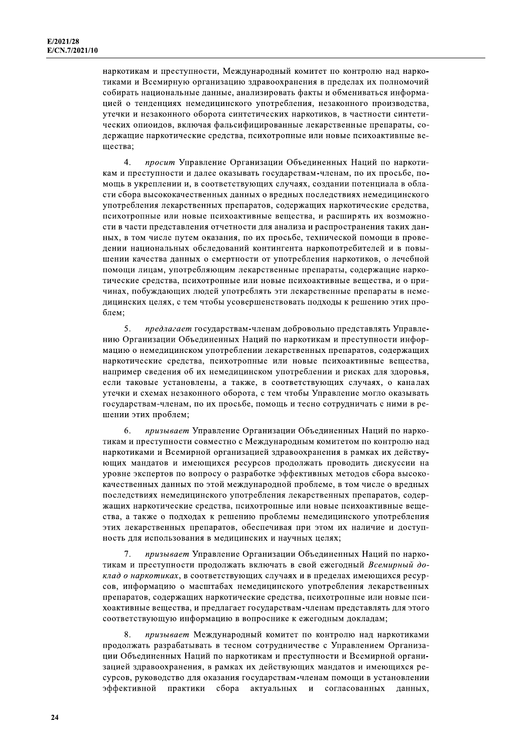наркотикам и преступности, Международный комитет по контролю над наркотиками и Всемирную организацию здравоохранения в пределах их полномочий собирать национальные данные, анализировать факты и обмениваться информацией о тенденциях немедицинского употребления, незаконного производства, утечки и незаконного оборота синтетических наркотиков, в частности синтетических опиоидов, включая фальсифицированные лекарственные препараты, содержащие наркотические средства, психотропные или новые психоактивные вешества:

 $\overline{4}$ . просит Управление Организации Объединенных Наций по наркотикам и преступности и далее оказывать государствам-членам, по их просьбе, помощь в укреплении и, в соответствующих случаях, создании потенциала в области сбора высококачественных данных о вредных последствиях немедицинского употребления лекарственных препаратов, содержащих наркотические средства, психотропные или новые психоактивные вещества, и расширять их возможности в части представления отчетности для анализа и распространения таких данных, в том числе путем оказания, по их просьбе, технической помощи в проведении национальных обследований контингента наркопотребителей и в повышении качества данных о смертности от употребления наркотиков, о лечебной помощи лицам, употребляющим лекарственные препараты, содержащие наркотические средства, психотропные или новые психоактивные вещества, и о причинах, побуждающих людей употреблять эти лекарственные препараты в немедицинских целях, с тем чтобы усовершенствовать подходы к решению этих проблем:

5. предлагает государствам-членам добровольно представлять Управлению Организации Объединенных Наций по наркотикам и преступности информацию о немедицинском употреблении лекарственных препаратов, содержащих наркотические средства, психотропные или новые психоактивные вещества, например сведения об их немедицинском употреблении и рисках для здоровья, если таковые установлены, а также, в соответствующих случаях, о каналах утечки и схемах незаконного оборота, с тем чтобы Управление могло оказывать государствам-членам, по их просьбе, помощь и тесно сотрудничать с ними в решении этих проблем;

6. призывает Управление Организации Объединенных Наций по наркотикам и преступности совместно с Международным комитетом по контролю над наркотиками и Всемирной организацией здравоохранения в рамках их действующих мандатов и имеющихся ресурсов продолжать проводить дискуссии на уровне экспертов по вопросу о разработке эффективных методов сбора высококачественных данных по этой международной проблеме, в том числе о вредных последствиях немедицинского употребления лекарственных препаратов, содержащих наркотические средства, психотропные или новые психоактивные вещества, а также о подходах к решению проблемы немедицинского употребления этих лекарственных препаратов, обеспечивая при этом их наличие и доступность для использования в медицинских и научных целях;

призывает Управление Организации Объединенных Наций по нарко-7. тикам и преступности продолжать включать в свой ежегодный Всемирный доклад о наркотиках, в соответствующих случаях и в пределах имеющихся ресурсов, информацию о масштабах немедицинского употребления лекарственных препаратов, содержащих наркотические средства, психотропные или новые психоактивные вещества, и предлагает государствам-членам представлять для этого соответствующую информацию в вопроснике к ежегодным докладам;

 $\mathbf{R}$ призывает Международный комитет по контролю над наркотиками продолжать разрабатывать в тесном сотрудничестве с Управлением Организации Объединенных Наций по наркотикам и преступности и Всемирной организацией здравоохранения, в рамках их действующих мандатов и имеющихся ресурсов, руководство для оказания государствам-членам помощи в установлении эффективной практики сбора актуальных и согласованных данных,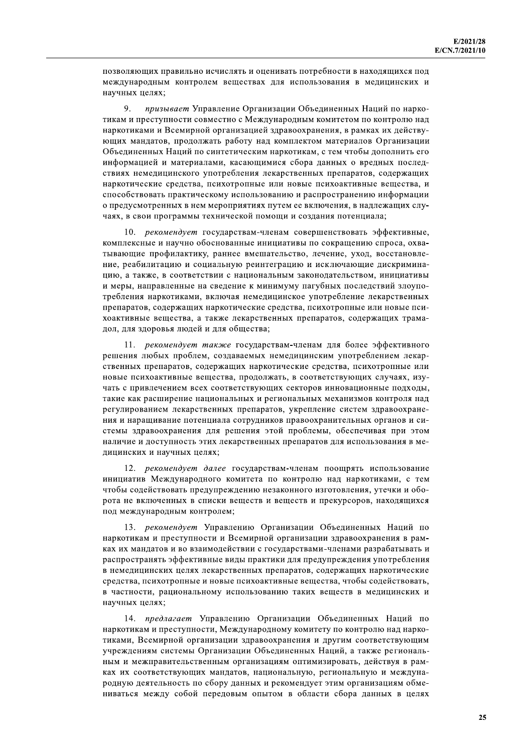позволяющих правильно исчислять и оценивать потребности в находящихся под международным контролем веществах для использования в медицинских и научных целях;

9. призывает Управление Организации Объединенных Наций по наркотикам и преступности совместно с Международным комитетом по контролю над наркотиками и Всемирной организацией здравоохранения, в рамках их действующих мандатов, продолжать работу над комплектом материалов Организации Объединенных Наций по синтетическим наркотикам, с тем чтобы дополнить его информацией и материалами, касающимися сбора данных о вредных последствиях немедицинского употребления лекарственных препаратов, содержащих наркотические средства, психотропные или новые психоактивные вещества, и способствовать практическому использованию и распространению информации о предусмотренных в нем мероприятиях путем ее включения, в надлежащих случаях, в свои программы технической помощи и создания потенциала;

10. рекомендует государствам-членам совершенствовать эффективные, комплексные и научно обоснованные инициативы по сокращению спроса, охватывающие профилактику, раннее вмешательство, лечение, уход, восстановление, реабилитацию и социальную реинтеграцию и исключающие дискриминацию, а также, в соответствии с национальным законодательством, инициативы и меры, направленные на сведение к минимуму пагубных последствий злоупотребления наркотиками, включая немедицинское употребление лекарственных препаратов, содержащих наркотические средства, психотропные или новые психоактивные вещества, а также лекарственных препаратов, содержащих трамадол, для здоровья людей и для общества;

11. рекомендует также государствам-членам для более эффективного решения любых проблем, создаваемых немедицинским употреблением лекарственных препаратов, содержащих наркотические средства, психотропные или новые психоактивные вещества, продолжать, в соответствующих случаях, изучать с привлечением всех соответствующих секторов инновационные подходы, такие как расширение национальных и региональных механизмов контроля над регулированием лекарственных препаратов, укрепление систем здравоохранения и наращивание потенциала сотрудников правоохранительных органов и системы здравоохранения для решения этой проблемы, обеспечивая при этом наличие и доступность этих лекарственных препаратов для использования в медицинских и научных целях;

12. рекомендует далее государствам-членам поощрять использование инициатив Международного комитета по контролю над наркотиками, с тем чтобы содействовать предупреждению незаконного изготовления, утечки и оборота не включенных в списки веществ и веществ и прекурсоров, находящихся под международным контролем;

13. рекомендует Управлению Организации Объединенных Наций по наркотикам и преступности и Всемирной организации здравоохранения в рамках их мандатов и во взаимодействии с государствами-членами разрабатывать и распространять эффективные виды практики для предупреждения употребления в немедицинских целях лекарственных препаратов, содержащих наркотические средства, психотропные и новые психоактивные вещества, чтобы содействовать, в частности, рациональному использованию таких веществ в медицинских и научных целях;

14. предлагает Управлению Организации Объединенных Наций по наркотикам и преступности, Международному комитету по контролю над наркотиками, Всемирной организации здравоохранения и другим соответствующим учреждениям системы Организации Объединенных Наций, а также региональным и межправительственным организациям оптимизировать, действуя в рамках их соответствующих мандатов, национальную, региональную и международную деятельность по сбору данных и рекомендует этим организациям обмениваться между собой передовым опытом в области сбора данных в целях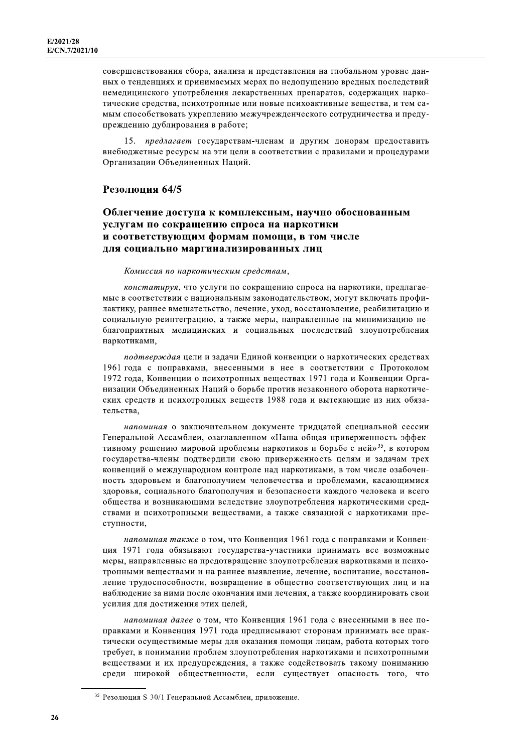совершенствования сбора, анализа и представления на глобальном уровне данных о тенденциях и принимаемых мерах по недопущению вредных последствий немедицинского употребления лекарственных препаратов, содержащих наркотические средства, психотропные или новые психоактивные вещества, и тем самым способствовать укреплению межучрежденческого сотрудничества и предупреждению дублирования в работе;

15. предлагает государствам-членам и другим донорам предоставить внебюджетные ресурсы на эти цели в соответствии с правилами и процедурами Организации Объединенных Наций.

### Резолюция 64/5

# Облегчение доступа к комплексным, научно обоснованным услугам по сокращению спроса на наркотики и соответствующим формам помощи, в том числе для социально маргинализированных лиц

### Комиссия по наркотическим средствам,

констатируя, что услуги по сокращению спроса на наркотики, предлагаемые в соответствии с национальным законодательством, могут включать профилактику, раннее вмешательство, лечение, уход, восстановление, реабилитацию и социальную реинтеграцию, а также меры, направленные на минимизацию неблагоприятных медицинских и социальных последствий злоупотребления наркотиками,

подтверждая цели и задачи Единой конвенции о наркотических средствах 1961 года с поправками, внесенными в нее в соответствии с Протоколом 1972 года, Конвенции о психотропных веществах 1971 года и Конвенции Организации Объединенных Наций о борьбе против незаконного оборота наркотических средств и психотропных веществ 1988 года и вытекающие из них обязательства.

напоминая о заключительном документе тридцатой специальной сессии Генеральной Ассамблеи, озаглавленном «Наша общая приверженность эффективному решению мировой проблемы наркотиков и борьбе с ней»<sup>35</sup>, в котором государства-члены подтвердили свою приверженность целям и задачам трех конвенций о международном контроле над наркотиками, в том числе озабоченность здоровьем и благополучием человечества и проблемами, касающимися здоровья, социального благополучия и безопасности каждого человека и всего общества и возникающими вследствие злоупотребления наркотическими средствами и психотропными веществами, а также связанной с наркотиками преступности,

напоминая также о том, что Конвенция 1961 года с поправками и Конвенция 1971 года обязывают государства-участники принимать все возможные меры, направленные на предотвращение злоупотребления наркотиками и психотропными веществами и на раннее выявление, лечение, воспитание, восстановление трудоспособности, возвращение в общество соответствующих лиц и на наблюдение за ними после окончания ими лечения, а также координировать свои усилия для достижения этих целей,

напоминая далее о том, что Конвенция 1961 года с внесенными в нее поправками и Конвенция 1971 года предписывают сторонам принимать все практически осуществимые меры для оказания помощи лицам, работа которых того требует, в понимании проблем злоупотребления наркотиками и психотропными веществами и их предупреждения, а также содействовать такому пониманию среди широкой общественности, если существует опасность того, что

<sup>&</sup>lt;sup>35</sup> Резолюция S-30/1 Генеральной Ассамблеи, приложение.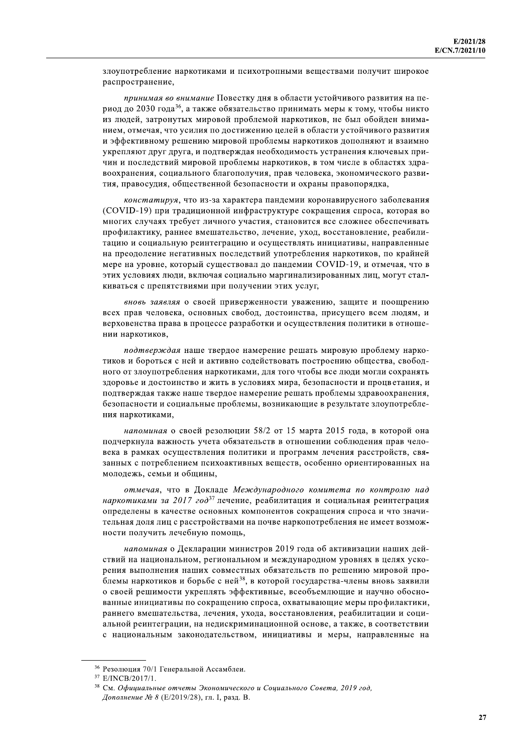злоупотребление наркотиками и психотропными веществами получит широкое распространение,

принимая во внимание Повестку дня в области устойчивого развития на период до 2030 года<sup>36</sup>, а также обязательство принимать меры к тому, чтобы никто из людей, затронутых мировой проблемой наркотиков, не был обойден вниманием, отмечая, что усилия по достижению целей в области устойчивого развития и эффективному решению мировой проблемы наркотиков дополняют и взаимно укрепляют друг друга, и подтверждая необходимость устранения ключевых причин и последствий мировой проблемы наркотиков, в том числе в областях здравоохранения, социального благополучия, прав человека, экономического развития, правосудия, общественной безопасности и охраны правопорядка,

констатируя, что из-за характера пандемии коронавирусного заболевания (COVID-19) при традиционной инфраструктуре сокращения спроса, которая во многих случаях требует личного участия, становится все сложнее обеспечивать профилактику, раннее вмешательство, лечение, уход, восстановление, реабилитацию и социальную реинтеграцию и осуществлять инициативы, направленные на преодоление негативных последствий употребления наркотиков, по крайней мере на уровне, который существовал до пандемии COVID-19, и отмечая, что в этих условиях люди, включая социально маргинализированных лиц, могут сталкиваться с препятствиями при получении этих услуг,

вновь заявляя о своей приверженности уважению, защите и поощрению всех прав человека, основных свобод, достоинства, присущего всем людям, и верховенства права в процессе разработки и осуществления политики в отношении наркотиков.

подтверждая наше твердое намерение решать мировую проблему наркотиков и бороться с ней и активно содействовать построению общества, свободного от злоупотребления наркотиками, для того чтобы все люди могли сохранять здоровье и достоинство и жить в условиях мира, безопасности и процветания, и подтверждая также наше твердое намерение решать проблемы здравоохранения, безопасности и социальные проблемы, возникающие в результате злоупотребления наркотиками.

напоминая о своей резолюции 58/2 от 15 марта 2015 года, в которой она подчеркнула важность учета обязательств в отношении соблюдения прав человека в рамках осуществления политики и программ лечения расстройств, связанных с потреблением психоактивных веществ, особенно ориентированных на молодежь, семьи и общины,

отмечая, что в Докладе Международного комитета по контролю над наркотиками за 2017 год<sup>37</sup> лечение, реабилитация и социальная реинтеграция определены в качестве основных компонентов сокращения спроса и что значительная доля лиц с расстройствами на почве наркопотребления не имеет возможности получить лечебную помощь,

напоминая о Декларации министров 2019 года об активизации наших действий на национальном, региональном и международном уровнях в целях ускорения выполнения наших совместных обязательств по решению мировой проблемы наркотиков и борьбе с ней<sup>38</sup>, в которой государства-члены вновь заявили о своей решимости укреплять эффективные, всеобъемлющие и научно обоснованные инициативы по сокращению спроса, охватывающие меры профилактики, раннего вмешательства, лечения, ухода, восстановления, реабилитации и социальной реинтеграции, на недискриминационной основе, а также, в соответствии с национальным законодательством, инициативы и меры, направленные на

<sup>36</sup> Резолюция 70/1 Генеральной Ассамблеи.

<sup>&</sup>lt;sup>37</sup> E/INCB/2017/1.

<sup>&</sup>lt;sup>38</sup> См. Официальные отчеты Экономического и Социального Совета, 2019 год, Дополнение № 8 (Е/2019/28), гл. I, разд. В.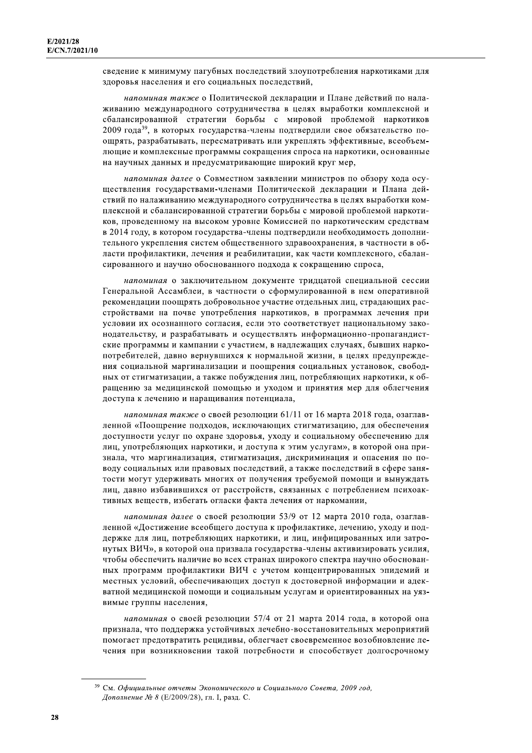сведение к минимуму пагубных последствий злоупотребления наркотиками для здоровья населения и его социальных последствий,

напоминая также о Политической декларации и Плане действий по налаживанию международного сотрудничества в целях выработки комплексной и сбалансированной стратегии борьбы с мировой проблемой наркотиков 2009 года<sup>39</sup>, в которых государства-члены подтвердили свое обязательство поощрять, разрабатывать, пересматривать или укреплять эффективные, всеобъемлющие и комплексные программы сокращения спроса на наркотики, основанные на научных данных и предусматривающие широкий круг мер,

напоминая далее о Совместном заявлении министров по обзору хода осуществления государствами-членами Политической декларации и Плана действий по налаживанию международного сотрудничества в целях выработки комплексной и сбалансированной стратегии борьбы с мировой проблемой наркотиков, проведенному на высоком уровне Комиссией по наркотическим средствам в 2014 году, в котором государства-члены подтвердили необходимость дополнительного укрепления систем общественного здравоохранения, в частности в области профилактики, лечения и реабилитации, как части комплексного, сбалансированного и научно обоснованного подхода к сокращению спроса,

напоминая о заключительном документе тридцатой специальной сессии Генеральной Ассамблеи, в частности о сформулированной в нем оперативной рекомендации поощрять добровольное участие отдельных лиц, страдающих расстройствами на почве употребления наркотиков, в программах лечения при условии их осознанного согласия, если это соответствует национальному законодательству, и разрабатывать и осуществлять информационно-пропагандистские программы и кампании с участием, в надлежащих случаях, бывших наркопотребителей, давно вернувшихся к нормальной жизни, в целях предупреждения социальной маргинализации и поощрения социальных установок, свободных от стигматизации, а также побуждения лиц, потребляющих наркотики, к обращению за медицинской помощью и уходом и принятия мер для облегчения доступа к лечению и наращивания потенциала,

напоминая также о своей резолюции 61/11 от 16 марта 2018 года, озаглавленной «Поощрение подходов, исключающих стигматизацию, для обеспечения доступности услуг по охране здоровья, уходу и социальному обеспечению для лиц, употребляющих наркотики, и доступа к этим услугам», в которой она признала, что маргинализация, стигматизация, дискриминация и опасения по поводу социальных или правовых последствий, а также последствий в сфере занятости могут удерживать многих от получения требуемой помощи и вынуждать лиц, давно избавившихся от расстройств, связанных с потреблением психоактивных веществ, избегать огласки факта лечения от наркомании,

напоминая далее о своей резолюции 53/9 от 12 марта 2010 года, озаглавленной «Достижение всеобщего доступа к профилактике, лечению, уходу и поддержке для лиц, потребляющих наркотики, и лиц, инфицированных или затронутых ВИЧ», в которой она призвала государства-члены активизировать усилия, чтобы обеспечить наличие во всех странах широкого спектра научно обоснованных программ профилактики ВИЧ с учетом концентрированных эпидемий и местных условий, обеспечивающих доступ к достоверной информации и адекватной медицинской помощи и социальным услугам и ориентированных на уязвимые группы населения,

напоминая о своей резолюции 57/4 от 21 марта 2014 года, в которой она признала, что поддержка устойчивых лечебно-восстановительных мероприятий помогает предотвратить рецидивы, облегчает своевременное возобновление лечения при возникновении такой потребности и способствует долгосрочному

<sup>&</sup>lt;sup>39</sup> См. Официальные отчеты Экономического и Социального Совета, 2009 год, Дополнение № 8 (Е/2009/28), гл. I, разд. С.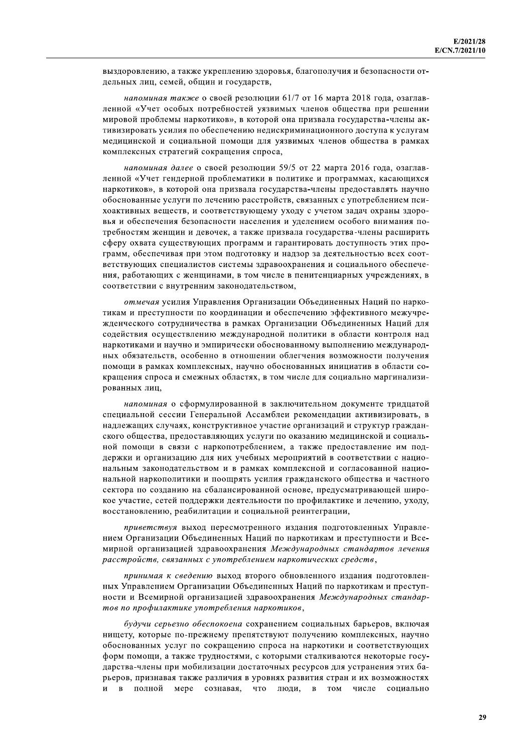выздоровлению, а также укреплению здоровья, благополучия и безопасности отдельных лиц, семей, общин и государств,

напоминая также о своей резолюции 61/7 от 16 марта 2018 года, озаглавленной «Учет особых потребностей уязвимых членов общества при решении мировой проблемы наркотиков», в которой она призвала государства-члены активизировать усилия по обеспечению недискриминационного доступа к услугам медицинской и социальной помощи для уязвимых членов общества в рамках комплексных стратегий сокращения спроса,

напоминая далее о своей резолюции 59/5 от 22 марта 2016 года, озаглавленной «Учет гендерной проблематики в политике и программах, касающихся наркотиков», в которой она призвала государства-члены предоставлять научно обоснованные услуги по лечению расстройств, связанных с употреблением психоактивных веществ, и соответствующему уходу с учетом задач охраны здоровья и обеспечения безопасности населения и уделением особого внимания потребностям женщин и девочек, а также призвала государства-члены расширить сферу охвата существующих программ и гарантировать доступность этих программ, обеспечивая при этом подготовку и надзор за деятельностью всех соответствующих специалистов системы здравоохранения и социального обеспечения, работающих с женщинами, в том числе в пенитенциарных учреждениях, в соответствии с внутренним законодательством,

отмечая усилия Управления Организации Объединенных Наций по наркотикам и преступности по координации и обеспечению эффективного межучрежденческого сотрудничества в рамках Организации Объединенных Наций для содействия осуществлению международной политики в области контроля над наркотиками и научно и эмпирически обоснованному выполнению международных обязательств, особенно в отношении облегчения возможности получения помощи в рамках комплексных, научно обоснованных инициатив в области сокращения спроса и смежных областях, в том числе для социально маргинализированных лиц.

напоминая о сформулированной в заключительном документе тридцатой специальной сессии Генеральной Ассамблеи рекомендации активизировать, в надлежащих случаях, конструктивное участие организаций и структур гражданского общества, предоставляющих услуги по оказанию медицинской и социальной помощи в связи с наркопотреблением, а также предоставление им поддержки и организацию для них учебных мероприятий в соответствии с национальным законодательством и в рамках комплексной и согласованной национальной наркополитики и поощрять усилия гражданского общества и частного сектора по созданию на сбалансированной основе, предусматривающей широкое участие, сетей поддержки деятельности по профилактике и лечению, уходу, восстановлению, реабилитации и социальной реинтеграции,

приветствуя выход пересмотренного издания подготовленных Управлением Организации Объединенных Наций по наркотикам и преступности и Всемирной организацией здравоохранения Международных стандартов лечения расстройств, связанных с употреблением наркотических средств,

принимая к сведению выход второго обновленного издания подготовленных Управлением Организации Объединенных Наций по наркотикам и преступности и Всемирной организацией здравоохранения Международных стандартов по профилактике употребления наркотиков,

будучи серьезно обеспокоена сохранением социальных барьеров, включая нищету, которые по-прежнему препятствуют получению комплексных, научно обоснованных услуг по сокращению спроса на наркотики и соответствующих форм помощи, а также трудностями, с которыми сталкиваются некоторые государства-члены при мобилизации достаточных ресурсов для устранения этих барьеров, признавая также различия в уровнях развития стран и их возможностях в полной мере сознавая, люди,  $\overline{u}$ что в том числе сониально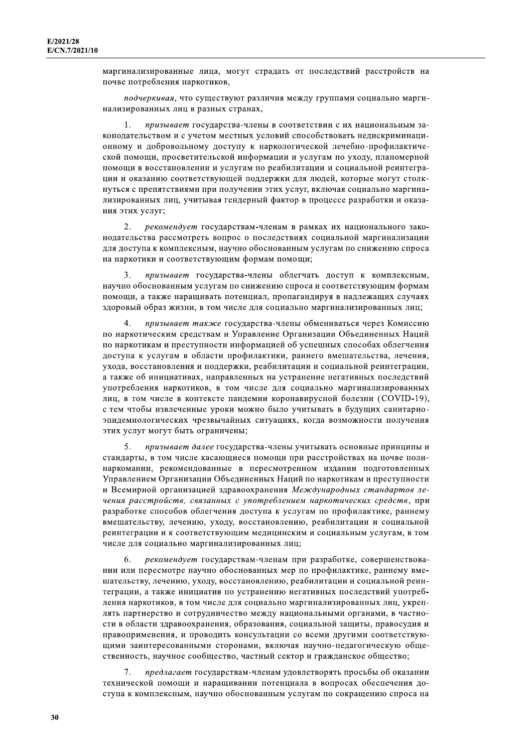маргинализированные лица, могут страдать от последствий расстройств на почве потребления наркотиков,

подчеркивая, что существуют различия между группами социально маргинализированных лиц в разных странах,

призывает государства-члены в соответствии с их национальным за- $\mathbf{1}$ конодательством и с учетом местных условий способствовать недискриминационному и добровольному доступу к наркологической лечебно-профилактической помощи, просветительской информации и услугам по уходу, планомерной помощи в восстановлении и услугам по реабилитации и социальной реинтеграции и оказанию соответствующей поддержки для людей, которые могут столкнуться с препятствиями при получении этих услуг, включая социально маргинализированных лиц, учитывая гендерный фактор в процессе разработки и оказания этих услуг;

рекомендует государствам-членам в рамках их национального зако-2. нодательства рассмотреть вопрос о последствиях социальной маргинализации для доступа к комплексным, научно обоснованным услугам по снижению спроса на наркотики и соответствующим формам помощи;

призывает государства-члены облегчать доступ к комплексным, 3. научно обоснованным услугам по снижению спроса и соответствующим формам помощи, а также наращивать потенциал, пропагандируя в надлежащих случаях здоровый образ жизни, в том числе для социально маргинализированных лиц;

4. призывает также государства-члены обмениваться через Комиссию по наркотическим средствам и Управление Организации Объединенных Наций по наркотикам и преступности информацией об успешных способах облегчения доступа к услугам в области профилактики, раннего вмешательства, лечения, ухода, восстановления и поддержки, реабилитации и социальной реинтеграции, а также об инициативах, направленных на устранение негативных последствий употребления наркотиков, в том числе для социально маргинализированных лиц, в том числе в контексте пандемии коронавирусной болезни (COVID-19), с тем чтобы извлеченные уроки можно было учитывать в будущих санитарноэпидемиологических чрезвычайных ситуациях, когда возможности получения этих услуг могут быть ограничены;

5. призывает далее государства-члены учитывать основные принципы и стандарты, в том числе касающиеся помощи при расстройствах на почве полинаркомании, рекомендованные в пересмотренном издании подготовленных Управлением Организации Объединенных Наций по наркотикам и преступности и Всемирной организацией здравоохранения Международных стандартов лечения расстройств, связанных с употреблением наркотических средств, при разработке способов облегчения доступа к услугам по профилактике, раннему вмешательству, лечению, уходу, восстановлению, реабилитации и социальной реинтеграции и к соответствующим медицинским и социальным услугам, в том числе для социально маргинализированных лиц;

рекомендует государствам-членам при разработке, совершенствовании или пересмотре научно обоснованных мер по профилактике, раннему вмешательству, лечению, уходу, восстановлению, реабилитации и социальной реинтеграции, а также инициатив по устранению негативных последствий употребления наркотиков, в том числе для социально маргинализированных лиц, укреплять партнерство и сотрудничество между национальными органами, в частности в области здравоохранения, образования, социальной защиты, правосудия и правоприменения, и проводить консультации со всеми другими соответствуюшими заинтересованными сторонами, включая научно-педагогическую обшественность, научное сообщество, частный сектор и гражданское общество;

7. предлагает государствам-членам удовлетворять просьбы об оказании технической помоши и нарашивании потенциала в вопросах обеспечения доступа к комплексным, научно обоснованным услугам по сокращению спроса на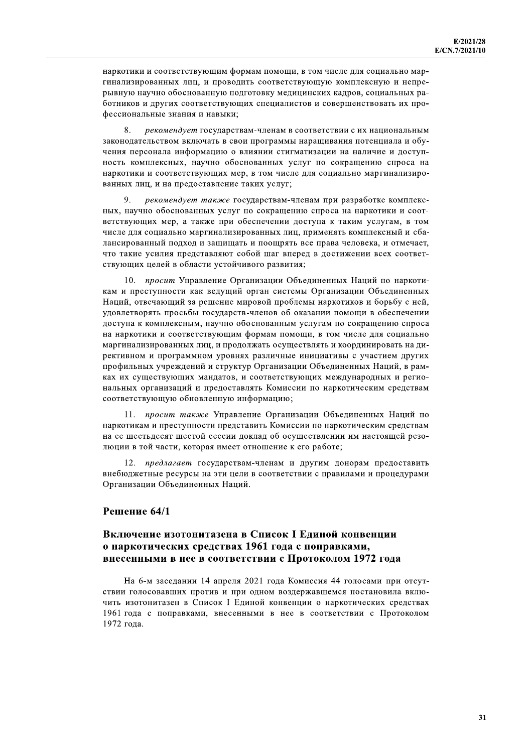наркотики и соответствующим формам помощи, в том числе для социально маргинализированных лиц, и проводить соответствующую комплексную и непрерывную научно обоснованную подготовку медицинских кадров, социальных работников и других соответствующих специалистов и совершенствовать их профессиональные знания и навыки;

8. рекомендует государствам-членам в соответствии с их национальным законодательством включать в свои программы наращивания потенциала и обучения персонала информацию о влиянии стигматизации на наличие и доступность комплексных, научно обоснованных услуг по сокращению спроса на наркотики и соответствующих мер, в том числе для социально маргинализированных лиц, и на предоставление таких услуг;

рекомендует также государствам-членам при разработке комплексных, научно обоснованных услуг по сокращению спроса на наркотики и соответствующих мер, а также при обеспечении доступа к таким услугам, в том числе для социально маргинализированных лиц, применять комплексный и сбалансированный подход и защищать и поощрять все права человека, и отмечает, что такие усилия представляют собой шаг вперед в достижении всех соответствующих целей в области устойчивого развития;

10. просит Управление Организации Объединенных Наций по наркотикам и преступности как ведущий орган системы Организации Объединенных Наций, отвечающий за решение мировой проблемы наркотиков и борьбу с ней, удовлетворять просьбы государств-членов об оказании помощи в обеспечении доступа к комплексным, научно обоснованным услугам по сокращению спроса на наркотики и соответствующим формам помощи, в том числе для социально маргинализированных лиц, и продолжать осуществлять и координировать на директивном и программном уровнях различные инициативы с участием других профильных учреждений и структур Организации Объединенных Наций, в рамках их существующих мандатов, и соответствующих международных и региональных организаций и предоставлять Комиссии по наркотическим средствам соответствующую обновленную информацию;

11. просит также Управление Организации Объединенных Наций по наркотикам и преступности представить Комиссии по наркотическим средствам на ее шестьдесят шестой сессии доклад об осуществлении им настоящей резолюции в той части, которая имеет отношение к его работе:

12. предлагает государствам-членам и другим донорам предоставить внебюджетные ресурсы на эти цели в соответствии с правилами и процедурами Организации Объединенных Наций.

### Решение 64/1

# Включение изотонитазена в Список I Елиной конвенции о наркотических средствах 1961 года с поправками, внесенными в нее в соответствии с Протоколом 1972 года

На 6-м заседании 14 апреля 2021 года Комиссия 44 голосами при отсутствии голосовавших против и при одном воздержавшемся постановила включить изотонитазен в Список I Единой конвенции о наркотических средствах 1961 года с поправками, внесенными в нее в соответствии с Протоколом 1972 гола.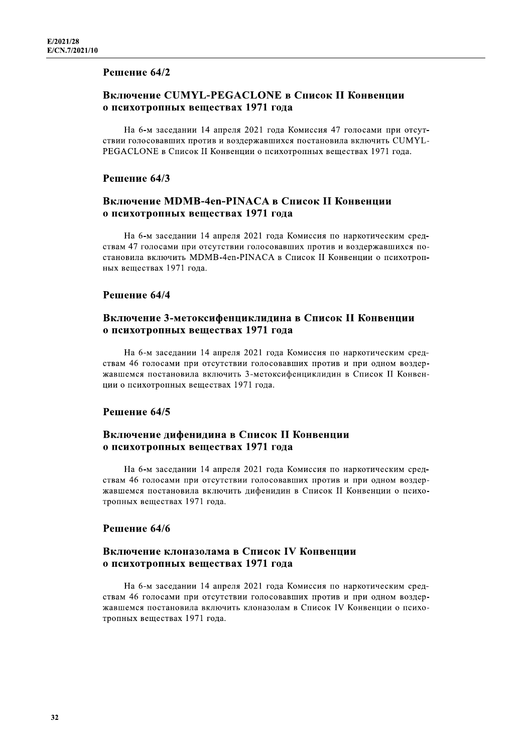### Решение 64/2

# Включение CUMYL-PEGACLONE в Список II Конвенции о психотропных веществах 1971 года

На 6-м заседании 14 апреля 2021 года Комиссия 47 голосами при отсутствии голосовавших против и воздержавшихся постановила включить CUMYL-PEGACLONE в Список II Конвенции о психотропных веществах 1971 года.

### Решение 64/3

### Включение MDMB-4en-PINACA в Список II Конвенции о психотропных веществах 1971 года

На 6-м заседании 14 апреля 2021 года Комиссия по наркотическим средствам 47 голосами при отсутствии голосовавших против и воздержавшихся постановила включить MDMB-4en-PINACA в Список II Конвенции о психотропных веществах 1971 года.

### Решение 64/4

# Включение 3-метоксифенциклидина в Список II Конвенции о психотропных веществах 1971 года

На 6-м заседании 14 апреля 2021 года Комиссия по наркотическим средствам 46 голосами при отсутствии голосовавших против и при одном воздержавшемся постановила включить 3-метоксифенциклидин в Список II Конвенции о психотропных веществах 1971 года.

### Решение 64/5

# Включение дифенидина в Список II Конвенции о психотропных веществах 1971 года

На 6-м заседании 14 апреля 2021 года Комиссия по наркотическим средствам 46 голосами при отсутствии голосовавших против и при одном воздержавшемся постановила включить дифенидин в Список II Конвенции о психотропных веществах 1971 года.

# Решение 64/6

### Включение клоназолама в Список IV Конвенции о психотропных веществах 1971 года

На 6-м заседании 14 апреля 2021 года Комиссия по наркотическим средствам 46 голосами при отсутствии голосовавших против и при одном воздержавшемся постановила включить клоназолам в Список IV Конвенции о психотропных веществах 1971 года.